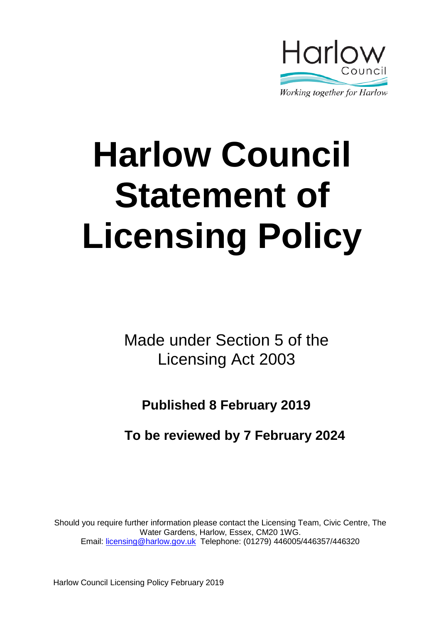

# **Harlow Council Statement of Licensing Policy**

Made under Section 5 of the Licensing Act 2003

**Published 8 February 2019**

**To be reviewed by 7 February 2024**

Should you require further information please contact the Licensing Team, Civic Centre, The Water Gardens, Harlow, Essex, CM20 1WG. Email: [licensing@harlow.gov.uk](mailto:licensing@harlow.gov.uk) Telephone: (01279) 446005/446357/446320

Harlow Council Licensing Policy February 2019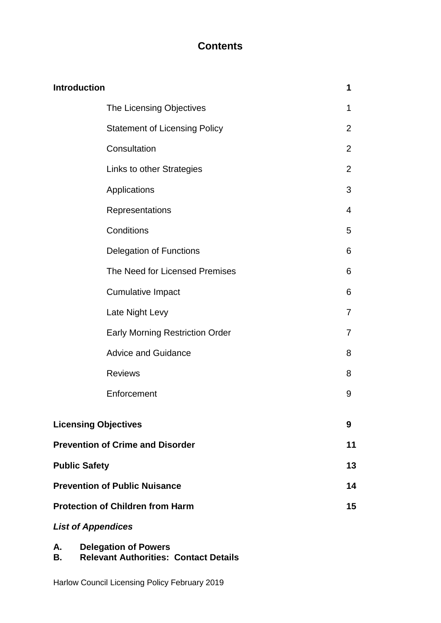# **Contents**

| <b>Introduction</b>                     | 1              |
|-----------------------------------------|----------------|
| The Licensing Objectives                | 1              |
| <b>Statement of Licensing Policy</b>    | 2              |
| Consultation                            | $\overline{2}$ |
| Links to other Strategies               | 2              |
| Applications                            | 3              |
| Representations                         | 4              |
| Conditions                              | 5              |
| <b>Delegation of Functions</b>          | 6              |
| The Need for Licensed Premises          | 6              |
| <b>Cumulative Impact</b>                | 6              |
| Late Night Levy                         | 7              |
| <b>Early Morning Restriction Order</b>  | 7              |
| <b>Advice and Guidance</b>              | 8              |
| <b>Reviews</b>                          | 8              |
| Enforcement                             | 9              |
| <b>Licensing Objectives</b>             | 9              |
| <b>Prevention of Crime and Disorder</b> | 11             |
| <b>Public Safety</b>                    | 13             |
| <b>Prevention of Public Nuisance</b>    | 14             |
| <b>Protection of Children from Harm</b> | 15             |
| <b>List of Appendices</b>               |                |

# **A. Delegation of Powers**

**B. Relevant Authorities: Contact Details**

Harlow Council Licensing Policy February 2019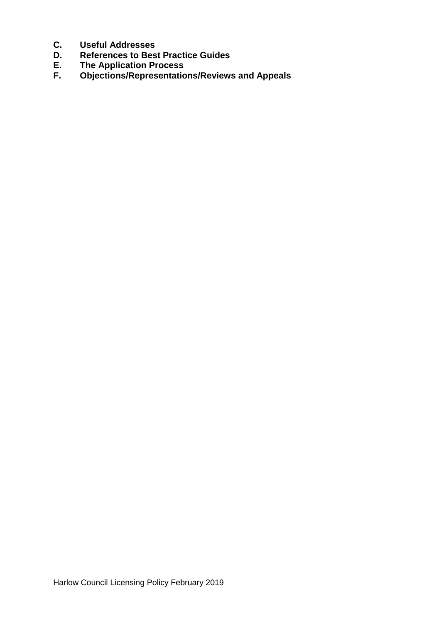- **C. Useful Addresses**
- **D. References to Best Practice Guides**
- **E. The Application Process**
- **F. Objections/Representations/Reviews and Appeals**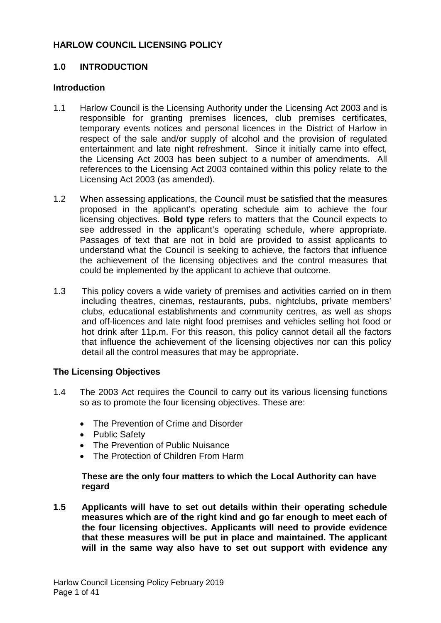## **HARLOW COUNCIL LICENSING POLICY**

## **1.0 INTRODUCTION**

## **Introduction**

- 1.1 Harlow Council is the Licensing Authority under the Licensing Act 2003 and is responsible for granting premises licences, club premises certificates, temporary events notices and personal licences in the District of Harlow in respect of the sale and/or supply of alcohol and the provision of regulated entertainment and late night refreshment. Since it initially came into effect, the Licensing Act 2003 has been subject to a number of amendments. All references to the Licensing Act 2003 contained within this policy relate to the Licensing Act 2003 (as amended).
- 1.2 When assessing applications, the Council must be satisfied that the measures proposed in the applicant's operating schedule aim to achieve the four licensing objectives. **Bold type** refers to matters that the Council expects to see addressed in the applicant's operating schedule, where appropriate. Passages of text that are not in bold are provided to assist applicants to understand what the Council is seeking to achieve, the factors that influence the achievement of the licensing objectives and the control measures that could be implemented by the applicant to achieve that outcome.
- 1.3 This policy covers a wide variety of premises and activities carried on in them including theatres, cinemas, restaurants, pubs, nightclubs, private members' clubs, educational establishments and community centres, as well as shops and off-licences and late night food premises and vehicles selling hot food or hot drink after 11p.m. For this reason, this policy cannot detail all the factors that influence the achievement of the licensing objectives nor can this policy detail all the control measures that may be appropriate.

## **The Licensing Objectives**

- 1.4 The 2003 Act requires the Council to carry out its various licensing functions so as to promote the four licensing objectives. These are:
	- The Prevention of Crime and Disorder
	- Public Safety
	- The Prevention of Public Nuisance
	- The Protection of Children From Harm

## **These are the only four matters to which the Local Authority can have regard**

**1.5 Applicants will have to set out details within their operating schedule measures which are of the right kind and go far enough to meet each of the four licensing objectives. Applicants will need to provide evidence that these measures will be put in place and maintained. The applicant will in the same way also have to set out support with evidence any**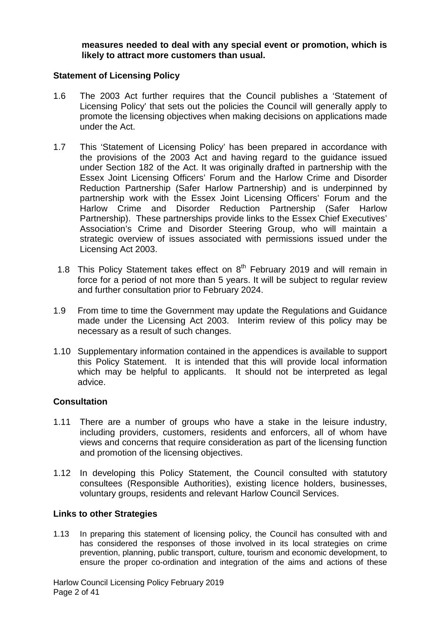**measures needed to deal with any special event or promotion, which is likely to attract more customers than usual.** 

#### **Statement of Licensing Policy**

- 1.6 The 2003 Act further requires that the Council publishes a 'Statement of Licensing Policy' that sets out the policies the Council will generally apply to promote the licensing objectives when making decisions on applications made under the Act.
- 1.7 This 'Statement of Licensing Policy' has been prepared in accordance with the provisions of the 2003 Act and having regard to the guidance issued under Section 182 of the Act. It was originally drafted in partnership with the Essex Joint Licensing Officers' Forum and the Harlow Crime and Disorder Reduction Partnership (Safer Harlow Partnership) and is underpinned by partnership work with the Essex Joint Licensing Officers' Forum and the Harlow Crime and Disorder Reduction Partnership (Safer Harlow Partnership). These partnerships provide links to the Essex Chief Executives' Association's Crime and Disorder Steering Group, who will maintain a strategic overview of issues associated with permissions issued under the Licensing Act 2003.
- 1.8 This Policy Statement takes effect on  $8<sup>th</sup>$  February 2019 and will remain in force for a period of not more than 5 years. It will be subject to regular review and further consultation prior to February 2024.
- 1.9 From time to time the Government may update the Regulations and Guidance made under the Licensing Act 2003. Interim review of this policy may be necessary as a result of such changes.
- 1.10 Supplementary information contained in the appendices is available to support this Policy Statement. It is intended that this will provide local information which may be helpful to applicants. It should not be interpreted as legal advice.

## **Consultation**

- 1.11 There are a number of groups who have a stake in the leisure industry, including providers, customers, residents and enforcers, all of whom have views and concerns that require consideration as part of the licensing function and promotion of the licensing objectives.
- 1.12 In developing this Policy Statement, the Council consulted with statutory consultees (Responsible Authorities), existing licence holders, businesses, voluntary groups, residents and relevant Harlow Council Services.

## **Links to other Strategies**

1.13 In preparing this statement of licensing policy, the Council has consulted with and has considered the responses of those involved in its local strategies on crime prevention, planning, public transport, culture, tourism and economic development, to ensure the proper co-ordination and integration of the aims and actions of these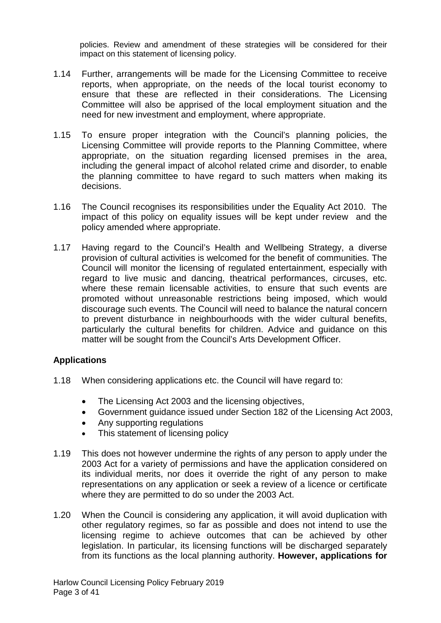policies. Review and amendment of these strategies will be considered for their impact on this statement of licensing policy.

- 1.14 Further, arrangements will be made for the Licensing Committee to receive reports, when appropriate, on the needs of the local tourist economy to ensure that these are reflected in their considerations. The Licensing Committee will also be apprised of the local employment situation and the need for new investment and employment, where appropriate.
- 1.15 To ensure proper integration with the Council's planning policies, the Licensing Committee will provide reports to the Planning Committee, where appropriate, on the situation regarding licensed premises in the area, including the general impact of alcohol related crime and disorder, to enable the planning committee to have regard to such matters when making its decisions.
- 1.16 The Council recognises its responsibilities under the Equality Act 2010. The impact of this policy on equality issues will be kept under review and the policy amended where appropriate.
- 1.17 Having regard to the Council's Health and Wellbeing Strategy, a diverse provision of cultural activities is welcomed for the benefit of communities. The Council will monitor the licensing of regulated entertainment, especially with regard to live music and dancing, theatrical performances, circuses, etc. where these remain licensable activities, to ensure that such events are promoted without unreasonable restrictions being imposed, which would discourage such events. The Council will need to balance the natural concern to prevent disturbance in neighbourhoods with the wider cultural benefits, particularly the cultural benefits for children. Advice and guidance on this matter will be sought from the Council's Arts Development Officer.

## **Applications**

- 1.18 When considering applications etc. the Council will have regard to:
	- The Licensing Act 2003 and the licensing objectives,
	- Government guidance issued under Section 182 of the Licensing Act 2003,
	- Any supporting regulations
	- This statement of licensing policy
- 1.19 This does not however undermine the rights of any person to apply under the 2003 Act for a variety of permissions and have the application considered on its individual merits, nor does it override the right of any person to make representations on any application or seek a review of a licence or certificate where they are permitted to do so under the 2003 Act.
- 1.20 When the Council is considering any application, it will avoid duplication with other regulatory regimes, so far as possible and does not intend to use the licensing regime to achieve outcomes that can be achieved by other legislation. In particular, its licensing functions will be discharged separately from its functions as the local planning authority. **However, applications for**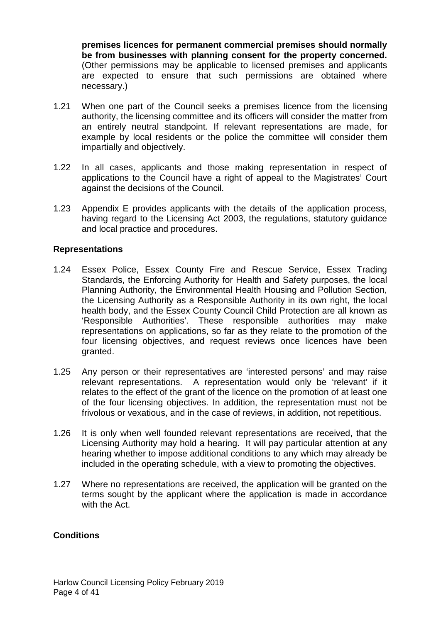**premises licences for permanent commercial premises should normally be from businesses with planning consent for the property concerned.** (Other permissions may be applicable to licensed premises and applicants are expected to ensure that such permissions are obtained where necessary.)

- 1.21 When one part of the Council seeks a premises licence from the licensing authority, the licensing committee and its officers will consider the matter from an entirely neutral standpoint. If relevant representations are made, for example by local residents or the police the committee will consider them impartially and objectively.
- 1.22 In all cases, applicants and those making representation in respect of applications to the Council have a right of appeal to the Magistrates' Court against the decisions of the Council.
- 1.23 Appendix E provides applicants with the details of the application process, having regard to the Licensing Act 2003, the regulations, statutory guidance and local practice and procedures.

## **Representations**

- 1.24 Essex Police, Essex County Fire and Rescue Service, Essex Trading Standards, the Enforcing Authority for Health and Safety purposes, the local Planning Authority, the Environmental Health Housing and Pollution Section, the Licensing Authority as a Responsible Authority in its own right, the local health body, and the Essex County Council Child Protection are all known as 'Responsible Authorities'. These responsible authorities may make representations on applications, so far as they relate to the promotion of the four licensing objectives, and request reviews once licences have been granted.
- 1.25 Any person or their representatives are 'interested persons' and may raise relevant representations. A representation would only be 'relevant' if it relates to the effect of the grant of the licence on the promotion of at least one of the four licensing objectives. In addition, the representation must not be frivolous or vexatious, and in the case of reviews, in addition, not repetitious.
- 1.26 It is only when well founded relevant representations are received, that the Licensing Authority may hold a hearing. It will pay particular attention at any hearing whether to impose additional conditions to any which may already be included in the operating schedule, with a view to promoting the objectives.
- 1.27 Where no representations are received, the application will be granted on the terms sought by the applicant where the application is made in accordance with the Act.

## **Conditions**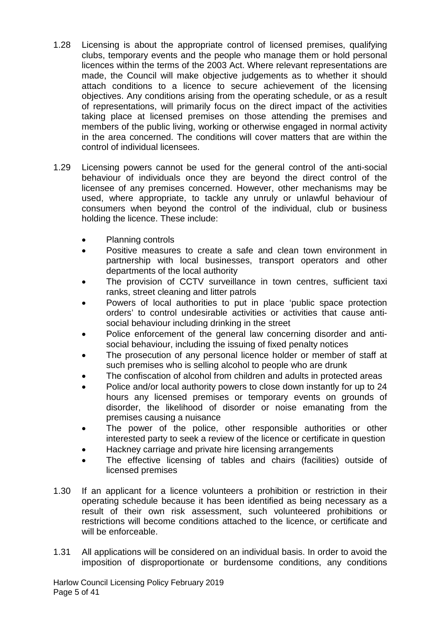- 1.28 Licensing is about the appropriate control of licensed premises, qualifying clubs, temporary events and the people who manage them or hold personal licences within the terms of the 2003 Act. Where relevant representations are made, the Council will make objective judgements as to whether it should attach conditions to a licence to secure achievement of the licensing objectives. Any conditions arising from the operating schedule, or as a result of representations, will primarily focus on the direct impact of the activities taking place at licensed premises on those attending the premises and members of the public living, working or otherwise engaged in normal activity in the area concerned. The conditions will cover matters that are within the control of individual licensees.
- 1.29 Licensing powers cannot be used for the general control of the anti-social behaviour of individuals once they are beyond the direct control of the licensee of any premises concerned. However, other mechanisms may be used, where appropriate, to tackle any unruly or unlawful behaviour of consumers when beyond the control of the individual, club or business holding the licence. These include:
	- Planning controls
	- Positive measures to create a safe and clean town environment in partnership with local businesses, transport operators and other departments of the local authority
	- The provision of CCTV surveillance in town centres, sufficient taxi ranks, street cleaning and litter patrols
	- Powers of local authorities to put in place 'public space protection orders' to control undesirable activities or activities that cause antisocial behaviour including drinking in the street
	- Police enforcement of the general law concerning disorder and antisocial behaviour, including the issuing of fixed penalty notices
	- The prosecution of any personal licence holder or member of staff at such premises who is selling alcohol to people who are drunk
	- The confiscation of alcohol from children and adults in protected areas
	- Police and/or local authority powers to close down instantly for up to 24 hours any licensed premises or temporary events on grounds of disorder, the likelihood of disorder or noise emanating from the premises causing a nuisance
	- The power of the police, other responsible authorities or other interested party to seek a review of the licence or certificate in question
	- Hackney carriage and private hire licensing arrangements
	- The effective licensing of tables and chairs (facilities) outside of licensed premises
- 1.30 If an applicant for a licence volunteers a prohibition or restriction in their operating schedule because it has been identified as being necessary as a result of their own risk assessment, such volunteered prohibitions or restrictions will become conditions attached to the licence, or certificate and will be enforceable.
- 1.31 All applications will be considered on an individual basis. In order to avoid the imposition of disproportionate or burdensome conditions, any conditions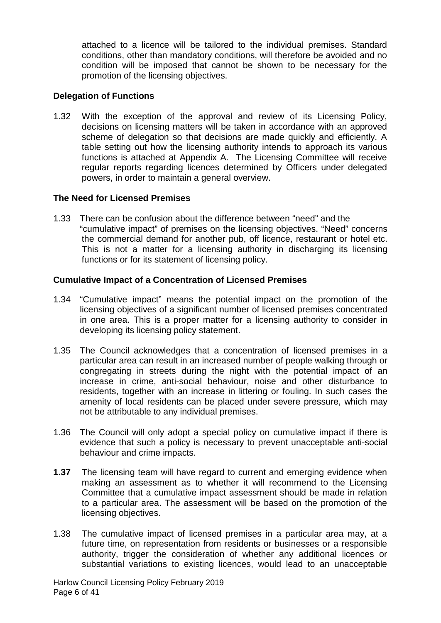attached to a licence will be tailored to the individual premises. Standard conditions, other than mandatory conditions, will therefore be avoided and no condition will be imposed that cannot be shown to be necessary for the promotion of the licensing objectives.

## **Delegation of Functions**

1.32 With the exception of the approval and review of its Licensing Policy, decisions on licensing matters will be taken in accordance with an approved scheme of delegation so that decisions are made quickly and efficiently. A table setting out how the licensing authority intends to approach its various functions is attached at Appendix A. The Licensing Committee will receive regular reports regarding licences determined by Officers under delegated powers, in order to maintain a general overview.

## **The Need for Licensed Premises**

1.33 There can be confusion about the difference between "need" and the "cumulative impact" of premises on the licensing objectives. "Need" concerns the commercial demand for another pub, off licence, restaurant or hotel etc. This is not a matter for a licensing authority in discharging its licensing functions or for its statement of licensing policy.

## **Cumulative Impact of a Concentration of Licensed Premises**

- 1.34 "Cumulative impact" means the potential impact on the promotion of the licensing objectives of a significant number of licensed premises concentrated in one area. This is a proper matter for a licensing authority to consider in developing its licensing policy statement.
- 1.35 The Council acknowledges that a concentration of licensed premises in a particular area can result in an increased number of people walking through or congregating in streets during the night with the potential impact of an increase in crime, anti-social behaviour, noise and other disturbance to residents, together with an increase in littering or fouling. In such cases the amenity of local residents can be placed under severe pressure, which may not be attributable to any individual premises.
- 1.36 The Council will only adopt a special policy on cumulative impact if there is evidence that such a policy is necessary to prevent unacceptable anti-social behaviour and crime impacts.
- **1.37** The licensing team will have regard to current and emerging evidence when making an assessment as to whether it will recommend to the Licensing Committee that a cumulative impact assessment should be made in relation to a particular area. The assessment will be based on the promotion of the licensing objectives.
- 1.38 The cumulative impact of licensed premises in a particular area may, at a future time, on representation from residents or businesses or a responsible authority, trigger the consideration of whether any additional licences or substantial variations to existing licences, would lead to an unacceptable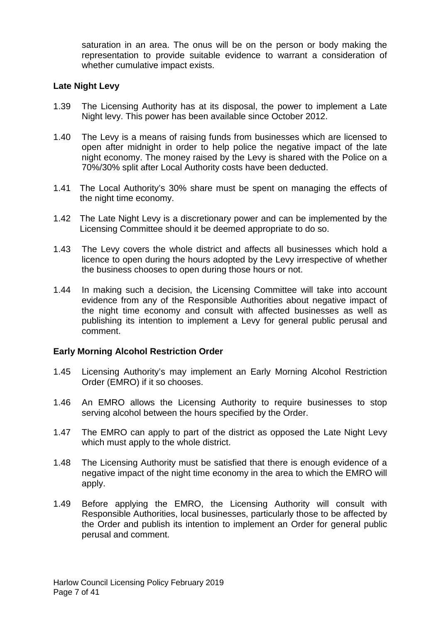saturation in an area. The onus will be on the person or body making the representation to provide suitable evidence to warrant a consideration of whether cumulative impact exists.

## **Late Night Levy**

- 1.39 The Licensing Authority has at its disposal, the power to implement a Late Night levy. This power has been available since October 2012.
- 1.40 The Levy is a means of raising funds from businesses which are licensed to open after midnight in order to help police the negative impact of the late night economy. The money raised by the Levy is shared with the Police on a 70%/30% split after Local Authority costs have been deducted.
- 1.41 The Local Authority's 30% share must be spent on managing the effects of the night time economy.
- 1.42 The Late Night Levy is a discretionary power and can be implemented by the Licensing Committee should it be deemed appropriate to do so.
- 1.43 The Levy covers the whole district and affects all businesses which hold a licence to open during the hours adopted by the Levy irrespective of whether the business chooses to open during those hours or not.
- 1.44 In making such a decision, the Licensing Committee will take into account evidence from any of the Responsible Authorities about negative impact of the night time economy and consult with affected businesses as well as publishing its intention to implement a Levy for general public perusal and comment.

## **Early Morning Alcohol Restriction Order**

- 1.45 Licensing Authority's may implement an Early Morning Alcohol Restriction Order (EMRO) if it so chooses.
- 1.46 An EMRO allows the Licensing Authority to require businesses to stop serving alcohol between the hours specified by the Order.
- 1.47 The EMRO can apply to part of the district as opposed the Late Night Levy which must apply to the whole district.
- 1.48 The Licensing Authority must be satisfied that there is enough evidence of a negative impact of the night time economy in the area to which the EMRO will apply.
- 1.49 Before applying the EMRO, the Licensing Authority will consult with Responsible Authorities, local businesses, particularly those to be affected by the Order and publish its intention to implement an Order for general public perusal and comment.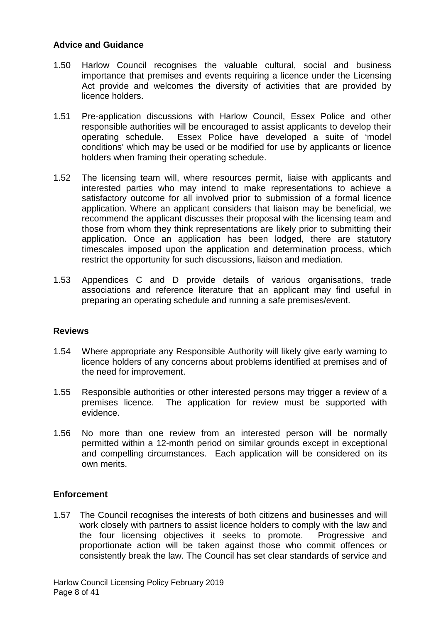## **Advice and Guidance**

- 1.50 Harlow Council recognises the valuable cultural, social and business importance that premises and events requiring a licence under the Licensing Act provide and welcomes the diversity of activities that are provided by licence holders.
- 1.51 Pre-application discussions with Harlow Council, Essex Police and other responsible authorities will be encouraged to assist applicants to develop their operating schedule. Essex Police have developed a suite of 'model conditions' which may be used or be modified for use by applicants or licence holders when framing their operating schedule.
- 1.52 The licensing team will, where resources permit, liaise with applicants and interested parties who may intend to make representations to achieve a satisfactory outcome for all involved prior to submission of a formal licence application. Where an applicant considers that liaison may be beneficial, we recommend the applicant discusses their proposal with the licensing team and those from whom they think representations are likely prior to submitting their application. Once an application has been lodged, there are statutory timescales imposed upon the application and determination process, which restrict the opportunity for such discussions, liaison and mediation.
- 1.53 Appendices C and D provide details of various organisations, trade associations and reference literature that an applicant may find useful in preparing an operating schedule and running a safe premises/event.

## **Reviews**

- 1.54 Where appropriate any Responsible Authority will likely give early warning to licence holders of any concerns about problems identified at premises and of the need for improvement.
- 1.55 Responsible authorities or other interested persons may trigger a review of a premises licence. The application for review must be supported with evidence.
- 1.56 No more than one review from an interested person will be normally permitted within a 12-month period on similar grounds except in exceptional and compelling circumstances. Each application will be considered on its own merits.

#### **Enforcement**

1.57 The Council recognises the interests of both citizens and businesses and will work closely with partners to assist licence holders to comply with the law and the four licensing objectives it seeks to promote. Progressive and proportionate action will be taken against those who commit offences or consistently break the law. The Council has set clear standards of service and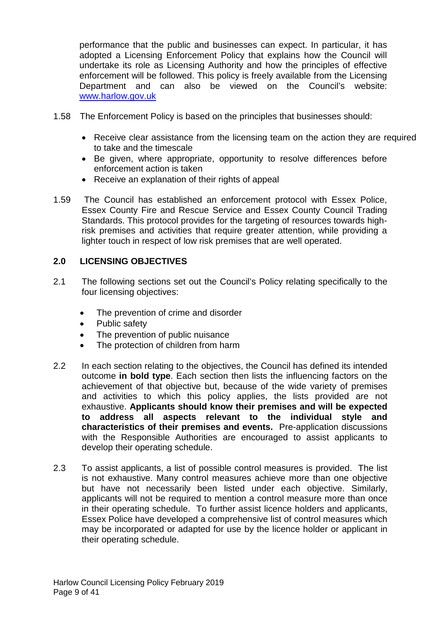performance that the public and businesses can expect. In particular, it has adopted a Licensing Enforcement Policy that explains how the Council will undertake its role as Licensing Authority and how the principles of effective enforcement will be followed. This policy is freely available from the Licensing Department and can also be viewed on the Council's website: [www.harlow.gov.uk](http://www.harlow.gov.uk/)

- 1.58 The Enforcement Policy is based on the principles that businesses should:
	- Receive clear assistance from the licensing team on the action they are required to take and the timescale
	- Be given, where appropriate, opportunity to resolve differences before enforcement action is taken
	- Receive an explanation of their rights of appeal
- 1.59 The Council has established an enforcement protocol with Essex Police, Essex County Fire and Rescue Service and Essex County Council Trading Standards. This protocol provides for the targeting of resources towards highrisk premises and activities that require greater attention, while providing a lighter touch in respect of low risk premises that are well operated.

## **2.0 LICENSING OBJECTIVES**

- 2.1 The following sections set out the Council's Policy relating specifically to the four licensing objectives:
	- The prevention of crime and disorder
	- Public safety
	- The prevention of public nuisance
	- The protection of children from harm
- 2.2 In each section relating to the objectives, the Council has defined its intended outcome **in bold type**. Each section then lists the influencing factors on the achievement of that objective but, because of the wide variety of premises and activities to which this policy applies, the lists provided are not exhaustive. **Applicants should know their premises and will be expected to address all aspects relevant to the individual style and characteristics of their premises and events.** Pre-application discussions with the Responsible Authorities are encouraged to assist applicants to develop their operating schedule.
- 2.3 To assist applicants, a list of possible control measures is provided. The list is not exhaustive. Many control measures achieve more than one objective but have not necessarily been listed under each objective. Similarly, applicants will not be required to mention a control measure more than once in their operating schedule. To further assist licence holders and applicants, Essex Police have developed a comprehensive list of control measures which may be incorporated or adapted for use by the licence holder or applicant in their operating schedule.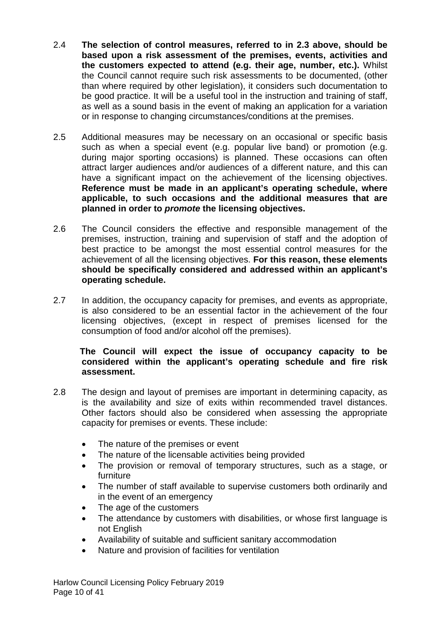- 2.4 **The selection of control measures, referred to in 2.3 above, should be based upon a risk assessment of the premises, events, activities and the customers expected to attend (e.g. their age, number, etc.).** Whilst the Council cannot require such risk assessments to be documented, (other than where required by other legislation), it considers such documentation to be good practice. It will be a useful tool in the instruction and training of staff, as well as a sound basis in the event of making an application for a variation or in response to changing circumstances/conditions at the premises.
- 2.5 Additional measures may be necessary on an occasional or specific basis such as when a special event (e.g. popular live band) or promotion (e.g. during major sporting occasions) is planned. These occasions can often attract larger audiences and/or audiences of a different nature, and this can have a significant impact on the achievement of the licensing objectives. **Reference must be made in an applicant's operating schedule, where applicable, to such occasions and the additional measures that are planned in order to** *promote* **the licensing objectives.**
- 2.6 The Council considers the effective and responsible management of the premises, instruction, training and supervision of staff and the adoption of best practice to be amongst the most essential control measures for the achievement of all the licensing objectives. **For this reason, these elements should be specifically considered and addressed within an applicant's operating schedule.**
- 2.7 In addition, the occupancy capacity for premises, and events as appropriate, is also considered to be an essential factor in the achievement of the four licensing objectives, (except in respect of premises licensed for the consumption of food and/or alcohol off the premises).

## **The Council will expect the issue of occupancy capacity to be considered within the applicant's operating schedule and fire risk assessment.**

- 2.8 The design and layout of premises are important in determining capacity, as is the availability and size of exits within recommended travel distances. Other factors should also be considered when assessing the appropriate capacity for premises or events. These include:
	- The nature of the premises or event
	- The nature of the licensable activities being provided
	- The provision or removal of temporary structures, such as a stage, or furniture
	- The number of staff available to supervise customers both ordinarily and in the event of an emergency
	- The age of the customers
	- The attendance by customers with disabilities, or whose first language is not English
	- Availability of suitable and sufficient sanitary accommodation
	- Nature and provision of facilities for ventilation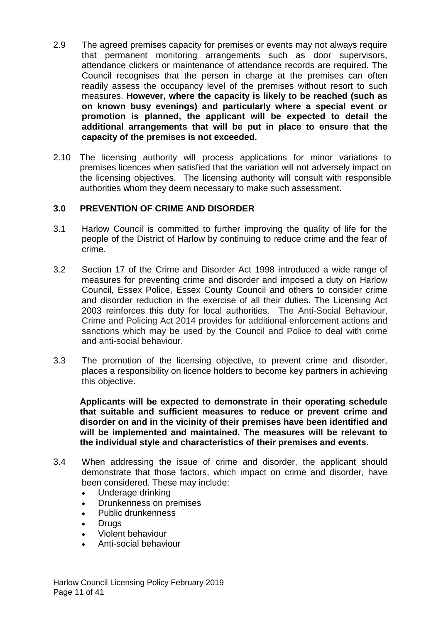- 2.9 The agreed premises capacity for premises or events may not always require that permanent monitoring arrangements such as door supervisors, attendance clickers or maintenance of attendance records are required. The Council recognises that the person in charge at the premises can often readily assess the occupancy level of the premises without resort to such measures. **However, where the capacity is likely to be reached (such as on known busy evenings) and particularly where a special event or promotion is planned, the applicant will be expected to detail the additional arrangements that will be put in place to ensure that the capacity of the premises is not exceeded.**
- 2.10 The licensing authority will process applications for minor variations to premises licences when satisfied that the variation will not adversely impact on the licensing objectives. The licensing authority will consult with responsible authorities whom they deem necessary to make such assessment.

## **3.0 PREVENTION OF CRIME AND DISORDER**

- 3.1 Harlow Council is committed to further improving the quality of life for the people of the District of Harlow by continuing to reduce crime and the fear of crime.
- 3.2 Section 17 of the Crime and Disorder Act 1998 introduced a wide range of measures for preventing crime and disorder and imposed a duty on Harlow Council, Essex Police, Essex County Council and others to consider crime and disorder reduction in the exercise of all their duties. The Licensing Act 2003 reinforces this duty for local authorities. The Anti-Social Behaviour, Crime and Policing Act 2014 provides for additional enforcement actions and sanctions which may be used by the Council and Police to deal with crime and anti-social behaviour.
- 3.3 The promotion of the licensing objective, to prevent crime and disorder, places a responsibility on licence holders to become key partners in achieving this objective.

**Applicants will be expected to demonstrate in their operating schedule that suitable and sufficient measures to reduce or prevent crime and disorder on and in the vicinity of their premises have been identified and will be implemented and maintained. The measures will be relevant to the individual style and characteristics of their premises and events.**

- 3.4 When addressing the issue of crime and disorder, the applicant should demonstrate that those factors, which impact on crime and disorder, have been considered. These may include:
	- Underage drinking
	- Drunkenness on premises
	- Public drunkenness
	- Drugs
	- Violent behaviour
	- Anti-social behaviour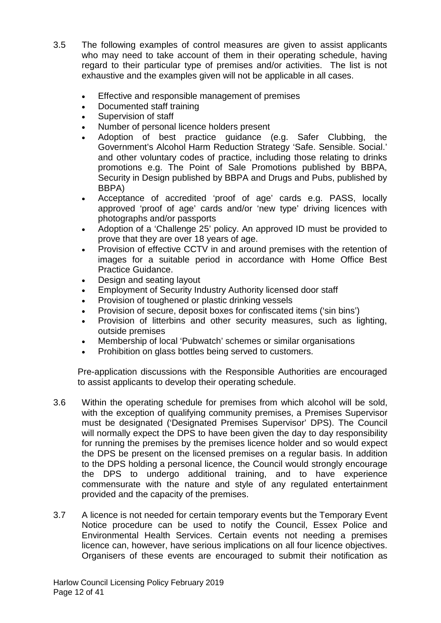- 3.5 The following examples of control measures are given to assist applicants who may need to take account of them in their operating schedule, having regard to their particular type of premises and/or activities. The list is not exhaustive and the examples given will not be applicable in all cases.
	- Effective and responsible management of premises
	- Documented staff training
	- Supervision of staff
	- Number of personal licence holders present
	- Adoption of best practice guidance (e.g. Safer Clubbing, the Government's Alcohol Harm Reduction Strategy 'Safe. Sensible. Social.' and other voluntary codes of practice, including those relating to drinks promotions e.g. The Point of Sale Promotions published by BBPA, Security in Design published by BBPA and Drugs and Pubs, published by BBPA)
	- Acceptance of accredited 'proof of age' cards e.g. PASS, locally approved 'proof of age' cards and/or 'new type' driving licences with photographs and/or passports
	- Adoption of a 'Challenge 25' policy. An approved ID must be provided to prove that they are over 18 years of age.
	- Provision of effective CCTV in and around premises with the retention of images for a suitable period in accordance with Home Office Best Practice Guidance.
	- Design and seating layout
	- Employment of Security Industry Authority licensed door staff
	- Provision of toughened or plastic drinking vessels
	- Provision of secure, deposit boxes for confiscated items ('sin bins')
	- Provision of litterbins and other security measures, such as lighting, outside premises
	- Membership of local 'Pubwatch' schemes or similar organisations
	- Prohibition on glass bottles being served to customers.

Pre-application discussions with the Responsible Authorities are encouraged to assist applicants to develop their operating schedule.

- 3.6 Within the operating schedule for premises from which alcohol will be sold, with the exception of qualifying community premises, a Premises Supervisor must be designated ('Designated Premises Supervisor' DPS). The Council will normally expect the DPS to have been given the day to day responsibility for running the premises by the premises licence holder and so would expect the DPS be present on the licensed premises on a regular basis. In addition to the DPS holding a personal licence, the Council would strongly encourage the DPS to undergo additional training, and to have experience commensurate with the nature and style of any regulated entertainment provided and the capacity of the premises.
- 3.7 A licence is not needed for certain temporary events but the Temporary Event Notice procedure can be used to notify the Council, Essex Police and Environmental Health Services. Certain events not needing a premises licence can, however, have serious implications on all four licence objectives. Organisers of these events are encouraged to submit their notification as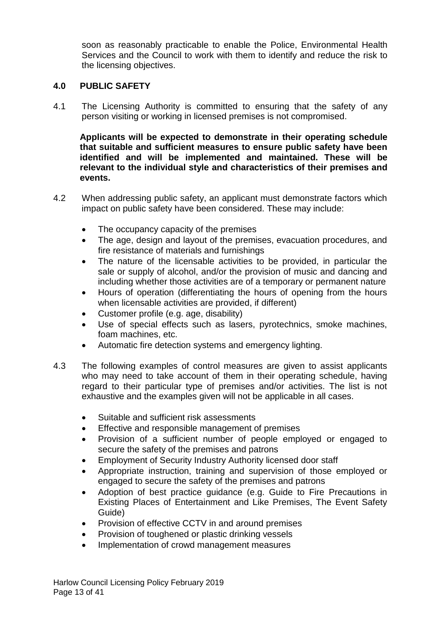soon as reasonably practicable to enable the Police, Environmental Health Services and the Council to work with them to identify and reduce the risk to the licensing objectives.

## **4.0 PUBLIC SAFETY**

4.1 The Licensing Authority is committed to ensuring that the safety of any person visiting or working in licensed premises is not compromised.

**Applicants will be expected to demonstrate in their operating schedule that suitable and sufficient measures to ensure public safety have been identified and will be implemented and maintained. These will be relevant to the individual style and characteristics of their premises and events.** 

- 4.2 When addressing public safety, an applicant must demonstrate factors which impact on public safety have been considered. These may include:
	- The occupancy capacity of the premises
	- The age, design and layout of the premises, evacuation procedures, and fire resistance of materials and furnishings
	- The nature of the licensable activities to be provided, in particular the sale or supply of alcohol, and/or the provision of music and dancing and including whether those activities are of a temporary or permanent nature
	- Hours of operation (differentiating the hours of opening from the hours when licensable activities are provided, if different)
	- Customer profile (e.g. age, disability)
	- Use of special effects such as lasers, pyrotechnics, smoke machines, foam machines, etc.
	- Automatic fire detection systems and emergency lighting.
- 4.3 The following examples of control measures are given to assist applicants who may need to take account of them in their operating schedule, having regard to their particular type of premises and/or activities. The list is not exhaustive and the examples given will not be applicable in all cases.
	- Suitable and sufficient risk assessments
	- Effective and responsible management of premises
	- Provision of a sufficient number of people employed or engaged to secure the safety of the premises and patrons
	- Employment of Security Industry Authority licensed door staff
	- Appropriate instruction, training and supervision of those employed or engaged to secure the safety of the premises and patrons
	- Adoption of best practice guidance (e.g. Guide to Fire Precautions in Existing Places of Entertainment and Like Premises, The Event Safety Guide)
	- Provision of effective CCTV in and around premises
	- Provision of toughened or plastic drinking vessels
	- Implementation of crowd management measures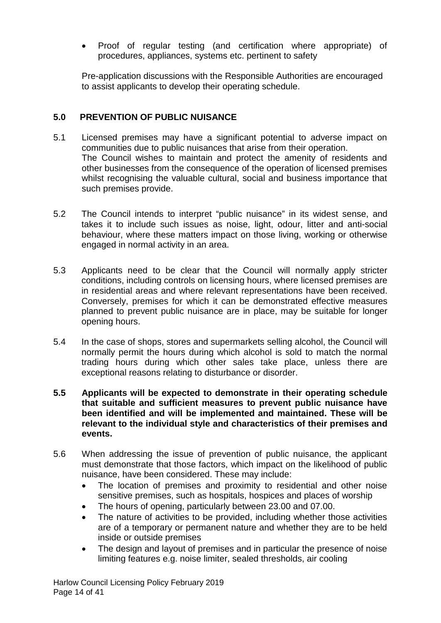• Proof of regular testing (and certification where appropriate) of procedures, appliances, systems etc. pertinent to safety

Pre-application discussions with the Responsible Authorities are encouraged to assist applicants to develop their operating schedule.

## **5.0 PREVENTION OF PUBLIC NUISANCE**

- 5.1 Licensed premises may have a significant potential to adverse impact on communities due to public nuisances that arise from their operation. The Council wishes to maintain and protect the amenity of residents and other businesses from the consequence of the operation of licensed premises whilst recognising the valuable cultural, social and business importance that such premises provide.
- 5.2 The Council intends to interpret "public nuisance" in its widest sense, and takes it to include such issues as noise, light, odour, litter and anti-social behaviour, where these matters impact on those living, working or otherwise engaged in normal activity in an area.
- 5.3 Applicants need to be clear that the Council will normally apply stricter conditions, including controls on licensing hours, where licensed premises are in residential areas and where relevant representations have been received. Conversely, premises for which it can be demonstrated effective measures planned to prevent public nuisance are in place, may be suitable for longer opening hours.
- 5.4 In the case of shops, stores and supermarkets selling alcohol, the Council will normally permit the hours during which alcohol is sold to match the normal trading hours during which other sales take place, unless there are exceptional reasons relating to disturbance or disorder.
- **5.5 Applicants will be expected to demonstrate in their operating schedule that suitable and sufficient measures to prevent public nuisance have been identified and will be implemented and maintained. These will be relevant to the individual style and characteristics of their premises and events.**
- 5.6 When addressing the issue of prevention of public nuisance, the applicant must demonstrate that those factors, which impact on the likelihood of public nuisance, have been considered. These may include:
	- The location of premises and proximity to residential and other noise sensitive premises, such as hospitals, hospices and places of worship
	- The hours of opening, particularly between 23.00 and 07.00.
	- The nature of activities to be provided, including whether those activities are of a temporary or permanent nature and whether they are to be held inside or outside premises
	- The design and layout of premises and in particular the presence of noise limiting features e.g. noise limiter, sealed thresholds, air cooling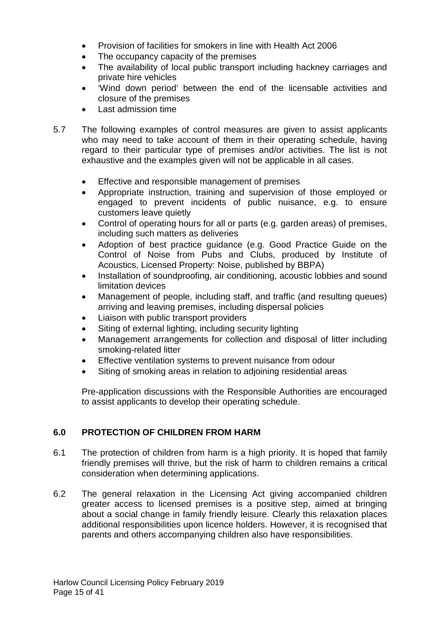- Provision of facilities for smokers in line with Health Act 2006
- The occupancy capacity of the premises
- The availability of local public transport including hackney carriages and private hire vehicles
- 'Wind down period' between the end of the licensable activities and closure of the premises
- Last admission time
- 5.7 The following examples of control measures are given to assist applicants who may need to take account of them in their operating schedule, having regard to their particular type of premises and/or activities. The list is not exhaustive and the examples given will not be applicable in all cases.
	- Effective and responsible management of premises
	- Appropriate instruction, training and supervision of those employed or engaged to prevent incidents of public nuisance, e.g. to ensure customers leave quietly
	- Control of operating hours for all or parts (e.g. garden areas) of premises, including such matters as deliveries
	- Adoption of best practice guidance (e.g. Good Practice Guide on the Control of Noise from Pubs and Clubs, produced by Institute of Acoustics, Licensed Property: Noise, published by BBPA)
	- Installation of soundproofing, air conditioning, acoustic lobbies and sound limitation devices
	- Management of people, including staff, and traffic (and resulting queues) arriving and leaving premises, including dispersal policies
	- Liaison with public transport providers
	- Siting of external lighting, including security lighting
	- Management arrangements for collection and disposal of litter including smoking-related litter
	- Effective ventilation systems to prevent nuisance from odour
	- Siting of smoking areas in relation to adjoining residential areas

Pre-application discussions with the Responsible Authorities are encouraged to assist applicants to develop their operating schedule.

## **6.0 PROTECTION OF CHILDREN FROM HARM**

- 6.1 The protection of children from harm is a high priority. It is hoped that family friendly premises will thrive, but the risk of harm to children remains a critical consideration when determining applications.
- 6.2 The general relaxation in the Licensing Act giving accompanied children greater access to licensed premises is a positive step, aimed at bringing about a social change in family friendly leisure. Clearly this relaxation places additional responsibilities upon licence holders. However, it is recognised that parents and others accompanying children also have responsibilities.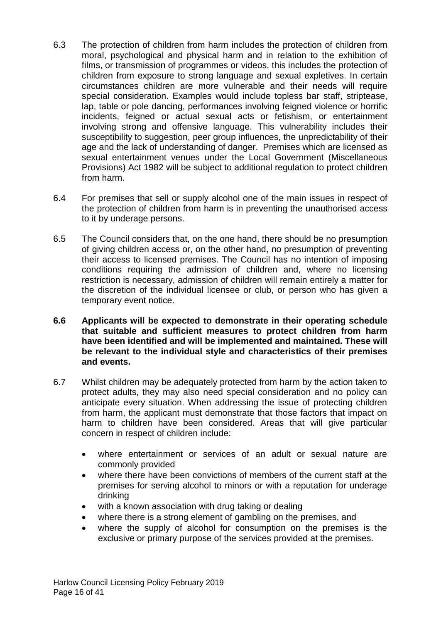- 6.3 The protection of children from harm includes the protection of children from moral, psychological and physical harm and in relation to the exhibition of films, or transmission of programmes or videos, this includes the protection of children from exposure to strong language and sexual expletives. In certain circumstances children are more vulnerable and their needs will require special consideration. Examples would include topless bar staff, striptease, lap, table or pole dancing, performances involving feigned violence or horrific incidents, feigned or actual sexual acts or fetishism, or entertainment involving strong and offensive language. This vulnerability includes their susceptibility to suggestion, peer group influences, the unpredictability of their age and the lack of understanding of danger. Premises which are licensed as sexual entertainment venues under the Local Government (Miscellaneous Provisions) Act 1982 will be subject to additional regulation to protect children from harm.
- 6.4 For premises that sell or supply alcohol one of the main issues in respect of the protection of children from harm is in preventing the unauthorised access to it by underage persons.
- 6.5 The Council considers that, on the one hand, there should be no presumption of giving children access or, on the other hand, no presumption of preventing their access to licensed premises. The Council has no intention of imposing conditions requiring the admission of children and, where no licensing restriction is necessary, admission of children will remain entirely a matter for the discretion of the individual licensee or club, or person who has given a temporary event notice.
- **6.6 Applicants will be expected to demonstrate in their operating schedule that suitable and sufficient measures to protect children from harm have been identified and will be implemented and maintained. These will be relevant to the individual style and characteristics of their premises and events.**
- 6.7 Whilst children may be adequately protected from harm by the action taken to protect adults, they may also need special consideration and no policy can anticipate every situation. When addressing the issue of protecting children from harm, the applicant must demonstrate that those factors that impact on harm to children have been considered. Areas that will give particular concern in respect of children include:
	- where entertainment or services of an adult or sexual nature are commonly provided
	- where there have been convictions of members of the current staff at the premises for serving alcohol to minors or with a reputation for underage drinking
	- with a known association with drug taking or dealing
	- where there is a strong element of gambling on the premises, and
	- where the supply of alcohol for consumption on the premises is the exclusive or primary purpose of the services provided at the premises.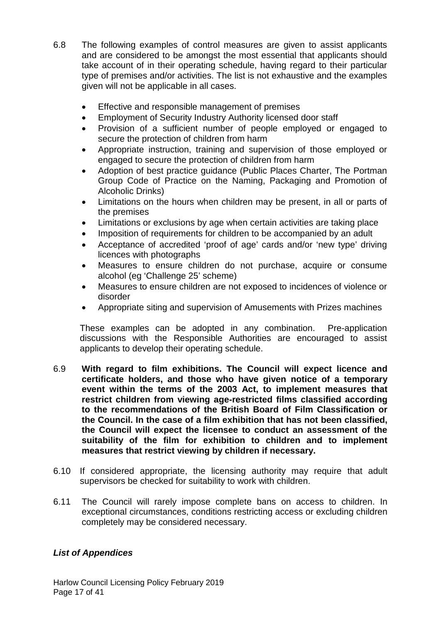- 6.8 The following examples of control measures are given to assist applicants and are considered to be amongst the most essential that applicants should take account of in their operating schedule, having regard to their particular type of premises and/or activities. The list is not exhaustive and the examples given will not be applicable in all cases.
	- Effective and responsible management of premises
	- Employment of Security Industry Authority licensed door staff
	- Provision of a sufficient number of people employed or engaged to secure the protection of children from harm
	- Appropriate instruction, training and supervision of those employed or engaged to secure the protection of children from harm
	- Adoption of best practice guidance (Public Places Charter, The Portman Group Code of Practice on the Naming, Packaging and Promotion of Alcoholic Drinks)
	- Limitations on the hours when children may be present, in all or parts of the premises
	- Limitations or exclusions by age when certain activities are taking place
	- Imposition of requirements for children to be accompanied by an adult
	- Acceptance of accredited 'proof of age' cards and/or 'new type' driving licences with photographs
	- Measures to ensure children do not purchase, acquire or consume alcohol (eg 'Challenge 25' scheme)
	- Measures to ensure children are not exposed to incidences of violence or disorder
	- Appropriate siting and supervision of Amusements with Prizes machines

These examples can be adopted in any combination. Pre-application discussions with the Responsible Authorities are encouraged to assist applicants to develop their operating schedule.

- 6.9 **With regard to film exhibitions. The Council will expect licence and certificate holders, and those who have given notice of a temporary event within the terms of the 2003 Act, to implement measures that restrict children from viewing age-restricted films classified according to the recommendations of the British Board of Film Classification or the Council. In the case of a film exhibition that has not been classified, the Council will expect the licensee to conduct an assessment of the suitability of the film for exhibition to children and to implement measures that restrict viewing by children if necessary.**
- 6.10 If considered appropriate, the licensing authority may require that adult supervisors be checked for suitability to work with children.
- 6.11 The Council will rarely impose complete bans on access to children. In exceptional circumstances, conditions restricting access or excluding children completely may be considered necessary.

## *List of Appendices*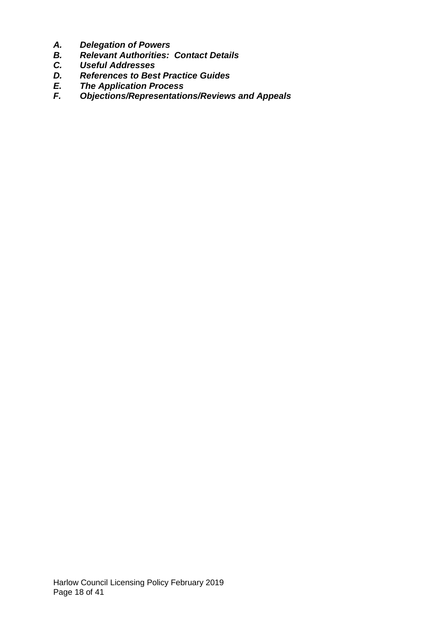- *A. Delegation of Powers*
- *B. Relevant Authorities: Contact Details*
- *C. Useful Addresses*
- *D. References to Best Practice Guides*
- *E. The Application Process*
- *F. Objections/Representations/Reviews and Appeals*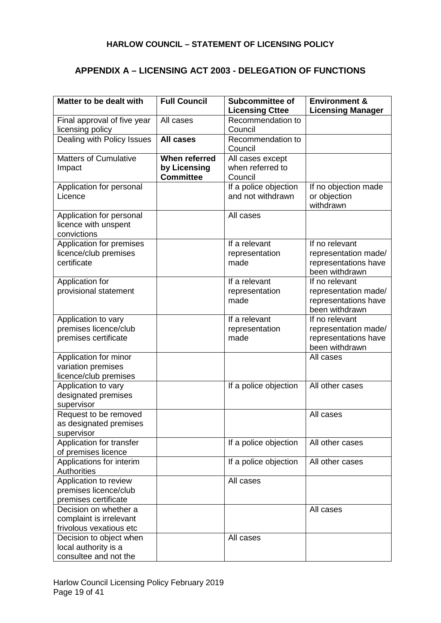## **APPENDIX A – LICENSING ACT 2003 - DELEGATION OF FUNCTIONS**

| Matter to be dealt with                          | <b>Full Council</b>  | <b>Subcommittee of</b>       | <b>Environment &amp;</b> |
|--------------------------------------------------|----------------------|------------------------------|--------------------------|
|                                                  |                      | <b>Licensing Cttee</b>       | <b>Licensing Manager</b> |
| Final approval of five year                      | All cases            | Recommendation to            |                          |
| licensing policy                                 |                      | Council                      |                          |
| Dealing with Policy Issues                       | <b>All cases</b>     | Recommendation to<br>Council |                          |
| <b>Matters of Cumulative</b>                     | <b>When referred</b> | All cases except             |                          |
| Impact                                           | by Licensing         | when referred to             |                          |
|                                                  | <b>Committee</b>     | Council                      |                          |
| Application for personal                         |                      | If a police objection        | If no objection made     |
| Licence                                          |                      | and not withdrawn            | or objection             |
|                                                  |                      |                              | withdrawn                |
| Application for personal<br>licence with unspent |                      | All cases                    |                          |
| convictions                                      |                      |                              |                          |
| Application for premises                         |                      | If a relevant                | If no relevant           |
| licence/club premises                            |                      | representation               | representation made/     |
| certificate                                      |                      | made                         | representations have     |
|                                                  |                      |                              | been withdrawn           |
| Application for                                  |                      | If a relevant                | If no relevant           |
| provisional statement                            |                      | representation               | representation made/     |
|                                                  |                      | made                         | representations have     |
|                                                  |                      |                              | been withdrawn           |
| Application to vary                              |                      | If a relevant                | If no relevant           |
| premises licence/club                            |                      | representation               | representation made/     |
| premises certificate                             |                      | made                         | representations have     |
|                                                  |                      |                              | been withdrawn           |
| Application for minor<br>variation premises      |                      |                              | All cases                |
| licence/club premises                            |                      |                              |                          |
| Application to vary                              |                      | If a police objection        | All other cases          |
| designated premises                              |                      |                              |                          |
| supervisor                                       |                      |                              |                          |
| Request to be removed                            |                      |                              | All cases                |
| as designated premises                           |                      |                              |                          |
| supervisor                                       |                      |                              |                          |
| Application for transfer                         |                      | If a police objection        | All other cases          |
| of premises licence                              |                      |                              |                          |
| Applications for interim                         |                      | If a police objection        | All other cases          |
| <b>Authorities</b>                               |                      |                              |                          |
| Application to review                            |                      | All cases                    |                          |
| premises licence/club                            |                      |                              |                          |
| premises certificate                             |                      |                              |                          |
| Decision on whether a                            |                      |                              | All cases                |
| complaint is irrelevant                          |                      |                              |                          |
| frivolous vexatious etc                          |                      |                              |                          |
| Decision to object when                          |                      | All cases                    |                          |
| local authority is a                             |                      |                              |                          |
| consultee and not the                            |                      |                              |                          |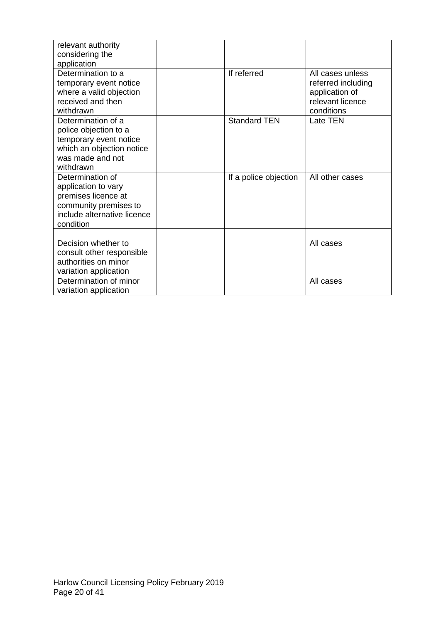| relevant authority<br>considering the |                       |                                        |
|---------------------------------------|-----------------------|----------------------------------------|
| application<br>Determination to a     | If referred           |                                        |
| temporary event notice                |                       | All cases unless<br>referred including |
| where a valid objection               |                       | application of                         |
| received and then                     |                       | relevant licence                       |
| withdrawn                             |                       | conditions                             |
| Determination of a                    | <b>Standard TEN</b>   | <b>Late TEN</b>                        |
| police objection to a                 |                       |                                        |
| temporary event notice                |                       |                                        |
| which an objection notice             |                       |                                        |
| was made and not                      |                       |                                        |
| withdrawn                             |                       |                                        |
| Determination of                      | If a police objection | All other cases                        |
| application to vary                   |                       |                                        |
| premises licence at                   |                       |                                        |
| community premises to                 |                       |                                        |
| include alternative licence           |                       |                                        |
| condition                             |                       |                                        |
| Decision whether to                   |                       | All cases                              |
| consult other responsible             |                       |                                        |
| authorities on minor                  |                       |                                        |
| variation application                 |                       |                                        |
| Determination of minor                |                       | All cases                              |
| variation application                 |                       |                                        |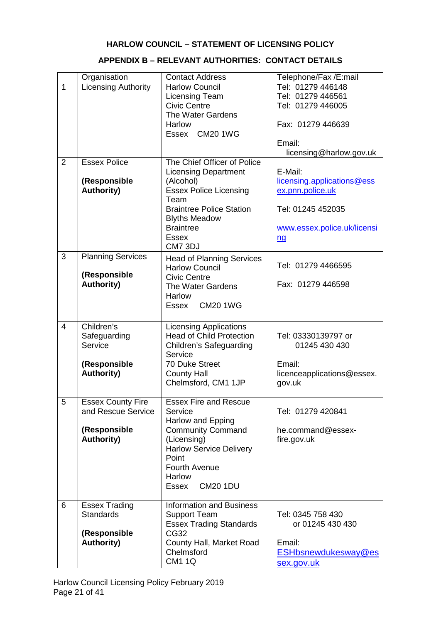#### **APPENDIX B – RELEVANT AUTHORITIES: CONTACT DETAILS**

|              | Organisation               | <b>Contact Address</b>                  | Telephone/Fax /E:mail             |
|--------------|----------------------------|-----------------------------------------|-----------------------------------|
| $\mathbf{1}$ | <b>Licensing Authority</b> | <b>Harlow Council</b>                   | Tel: 01279 446148                 |
|              |                            | Licensing Team                          | Tel: 01279 446561                 |
|              |                            | <b>Civic Centre</b>                     | Tel: 01279 446005                 |
|              |                            | The Water Gardens                       |                                   |
|              |                            | <b>Harlow</b>                           | Fax: 01279 446639                 |
|              |                            | Essex CM20 1WG                          |                                   |
|              |                            |                                         | Email:                            |
|              |                            |                                         | licensing@harlow.gov.uk           |
| 2            | <b>Essex Police</b>        | The Chief Officer of Police             |                                   |
|              |                            | <b>Licensing Department</b>             | E-Mail:                           |
|              | (Responsible               | (Alcohol)                               | licensing.applications@ess        |
|              | <b>Authority)</b>          | <b>Essex Police Licensing</b><br>Team   | ex.pnn.police.uk                  |
|              |                            | <b>Braintree Police Station</b>         | Tel: 01245 452035                 |
|              |                            | <b>Blyths Meadow</b>                    |                                   |
|              |                            | <b>Braintree</b>                        | www.essex.police.uk/licensi       |
|              |                            | <b>Essex</b>                            | nq                                |
|              |                            | CM7 3DJ                                 |                                   |
| 3            | <b>Planning Services</b>   | <b>Head of Planning Services</b>        |                                   |
|              |                            | <b>Harlow Council</b>                   | Tel: 01279 4466595                |
|              | (Responsible               | <b>Civic Centre</b>                     |                                   |
|              | <b>Authority)</b>          | The Water Gardens                       | Fax: 01279 446598                 |
|              |                            | <b>Harlow</b>                           |                                   |
|              |                            | Essex CM20 1WG                          |                                   |
|              |                            |                                         |                                   |
| 4            | Children's                 | <b>Licensing Applications</b>           |                                   |
|              | Safeguarding               | <b>Head of Child Protection</b>         | Tel: 03330139797 or               |
|              | Service                    | Children's Safeguarding                 | 01245 430 430                     |
|              |                            |                                         |                                   |
|              |                            | Service                                 |                                   |
|              | (Responsible               | 70 Duke Street                          | Email:                            |
|              | <b>Authority)</b>          | <b>County Hall</b>                      | licenceapplications@essex.        |
|              |                            | Chelmsford, CM1 1JP                     | gov.uk                            |
|              |                            |                                         |                                   |
| 5            | <b>Essex County Fire</b>   | <b>Essex Fire and Rescue</b>            |                                   |
|              | and Rescue Service         | Service                                 | Tel: 01279 420841                 |
|              |                            | Harlow and Epping                       |                                   |
|              | (Responsible               | <b>Community Command</b>                | he.command@essex-                 |
|              | <b>Authority)</b>          | (Licensing)                             | fire.gov.uk                       |
|              |                            | <b>Harlow Service Delivery</b><br>Point |                                   |
|              |                            | Fourth Avenue                           |                                   |
|              |                            | Harlow                                  |                                   |
|              |                            | <b>CM20 1DU</b><br>Essex                |                                   |
|              |                            |                                         |                                   |
| 6            | <b>Essex Trading</b>       | <b>Information and Business</b>         |                                   |
|              | <b>Standards</b>           | <b>Support Team</b>                     | Tel: 0345 758 430                 |
|              |                            | <b>Essex Trading Standards</b>          | or 01245 430 430                  |
|              | (Responsible               | CG32                                    |                                   |
|              | <b>Authority)</b>          | County Hall, Market Road                | Email:                            |
|              |                            | Chelmsford<br><b>CM1 1Q</b>             | ESHbsnewdukesway@es<br>sex.gov.uk |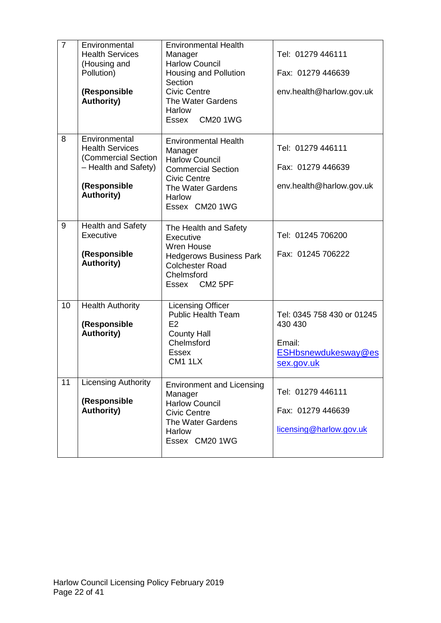| $\overline{7}$ | Environmental<br><b>Health Services</b><br>(Housing and<br>Pollution)<br>(Responsible<br><b>Authority)</b>                  | <b>Environmental Health</b><br>Manager<br><b>Harlow Council</b><br>Housing and Pollution<br>Section<br><b>Civic Centre</b><br>The Water Gardens<br>Harlow<br><b>CM20 1WG</b><br>Essex | Tel: 01279 446111<br>Fax: 01279 446639<br>env.health@harlow.gov.uk                                 |
|----------------|-----------------------------------------------------------------------------------------------------------------------------|---------------------------------------------------------------------------------------------------------------------------------------------------------------------------------------|----------------------------------------------------------------------------------------------------|
| 8              | Environmental<br><b>Health Services</b><br>(Commercial Section<br>- Health and Safety)<br>(Responsible<br><b>Authority)</b> | <b>Environmental Health</b><br>Manager<br><b>Harlow Council</b><br><b>Commercial Section</b><br><b>Civic Centre</b><br>The Water Gardens<br><b>Harlow</b><br>Essex CM20 1WG           | Tel: 01279 446111<br>Fax: 01279 446639<br>env.health@harlow.gov.uk                                 |
| 9              | <b>Health and Safety</b><br>Executive<br>(Responsible<br><b>Authority)</b>                                                  | The Health and Safety<br>Executive<br><b>Wren House</b><br><b>Hedgerows Business Park</b><br><b>Colchester Road</b><br>Chelmsford<br>Essex CM2 5PF                                    | Tel: 01245 706200<br>Fax: 01245 706222                                                             |
| 10             | <b>Health Authority</b><br>(Responsible<br><b>Authority)</b>                                                                | <b>Licensing Officer</b><br><b>Public Health Team</b><br>E2<br><b>County Hall</b><br>Chelmsford<br><b>Essex</b><br><b>CM1 1LX</b>                                                     | Tel: 0345 758 430 or 01245<br>430 430<br>Email:<br><b>ESHbsnewdukesway@es</b><br><u>sex.gov.uk</u> |
| 11             | <b>Licensing Authority</b><br>(Responsible<br><b>Authority)</b>                                                             | <b>Environment and Licensing</b><br>Manager<br><b>Harlow Council</b><br><b>Civic Centre</b><br>The Water Gardens<br><b>Harlow</b><br>Essex CM20 1WG                                   | Tel: 01279 446111<br>Fax: 01279 446639<br>licensing@harlow.gov.uk                                  |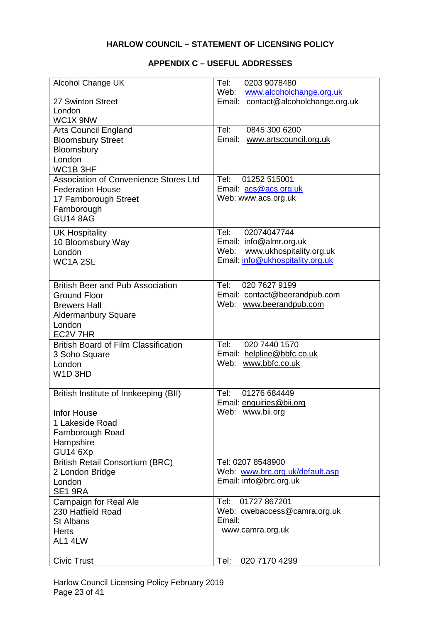#### **APPENDIX C – USEFUL ADDRESSES**

| Alcohol Change UK                            | Tel:<br>0203 9078480<br>Web:<br>www.alcoholchange.org.uk    |
|----------------------------------------------|-------------------------------------------------------------|
| 27 Swinton Street                            | Email: contact@alcoholchange.org.uk                         |
| London                                       |                                                             |
| WC1X 9NW<br><b>Arts Council England</b>      | Tel:<br>0845 300 6200                                       |
| <b>Bloomsbury Street</b>                     | Email: www.artscouncil.org.uk                               |
| Bloomsbury                                   |                                                             |
| London                                       |                                                             |
| WC1B 3HF                                     |                                                             |
| <b>Association of Convenience Stores Ltd</b> | Tel:<br>01252 515001                                        |
| <b>Federation House</b>                      | Email: acs@acs.org.uk                                       |
| 17 Farnborough Street                        | Web: www.acs.org.uk                                         |
| Farnborough<br><b>GU14 8AG</b>               |                                                             |
|                                              |                                                             |
| <b>UK Hospitality</b>                        | Tel:<br>02074047744                                         |
| 10 Bloomsbury Way<br>London                  | Email: info@almr.org.uk<br>www.ukhospitality.org.uk<br>Web: |
| WC1A <sub>2SL</sub>                          | Email: info@ukhospitality.org.uk                            |
|                                              |                                                             |
| <b>British Beer and Pub Association</b>      | Tel:<br>020 7627 9199                                       |
| <b>Ground Floor</b>                          | Email: contact@beerandpub.com                               |
| <b>Brewers Hall</b>                          | Web: www.beerandpub.com                                     |
| <b>Aldermanbury Square</b>                   |                                                             |
| London                                       |                                                             |
| EC2V 7HR                                     |                                                             |
| <b>British Board of Film Classification</b>  | 020 7440 1570<br>Tel:                                       |
| 3 Soho Square                                | Email: helpline@bbfc.co.uk<br>Web: www.bbfc.co.uk           |
| London<br>W <sub>1</sub> D <sub>3HD</sub>    |                                                             |
|                                              |                                                             |
| British Institute of Innkeeping (BII)        | 01276 684449<br>Tel:                                        |
|                                              | Email: enquiries@bii.org                                    |
| <b>Infor House</b>                           | Web: www.bii.org                                            |
| 1 Lakeside Road                              |                                                             |
| Farnborough Road                             |                                                             |
| Hampshire<br>GU14 6Xp                        |                                                             |
| <b>British Retail Consortium (BRC)</b>       | Tel: 0207 8548900                                           |
| 2 London Bridge                              | Web: www.brc.org.uk/default.asp                             |
| London                                       | Email: info@brc.org.uk                                      |
| SE1 9RA                                      |                                                             |
| <b>Campaign for Real Ale</b>                 | Tel:<br>01727 867201                                        |
| 230 Hatfield Road                            | Web: cwebaccess@camra.org.uk                                |
| <b>St Albans</b>                             | Email:<br>www.camra.org.uk                                  |
| <b>Herts</b><br>AL1 4LW                      |                                                             |
|                                              |                                                             |
| <b>Civic Trust</b>                           | Tel:<br>020 7170 4299                                       |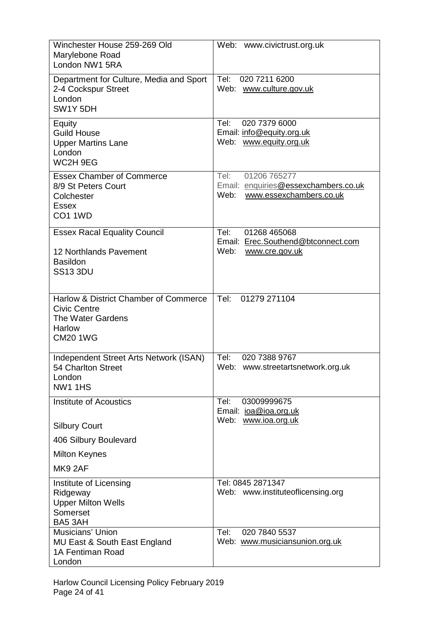| Winchester House 259-269 Old<br>Marylebone Road<br>London NW1 5RA                                                     | Web: www.civictrust.org.uk                                                                      |
|-----------------------------------------------------------------------------------------------------------------------|-------------------------------------------------------------------------------------------------|
| Department for Culture, Media and Sport<br>2-4 Cockspur Street<br>London<br>SW1Y 5DH                                  | Tel:<br>020 7211 6200<br>Web: www.culture.gov.uk                                                |
| Equity<br><b>Guild House</b><br><b>Upper Martins Lane</b><br>London<br>WC2H 9EG                                       | Tel:<br>020 7379 6000<br>Email: info@equity.org.uk<br>Web: www.equity.org.uk                    |
| <b>Essex Chamber of Commerce</b><br>8/9 St Peters Court<br>Colchester<br><b>Essex</b><br><b>CO1 1WD</b>               | 01206 765277<br>Tel:<br>Email: enquiries@essexchambers.co.uk<br>Web:<br>www.essexchambers.co.uk |
| <b>Essex Racal Equality Council</b><br>12 Northlands Pavement<br><b>Basildon</b><br><b>SS13 3DU</b>                   | Tel:<br>01268 465068<br>Email: Erec.Southend@btconnect.com<br>Web:<br>www.cre.gov.uk            |
| Harlow & District Chamber of Commerce<br><b>Civic Centre</b><br>The Water Gardens<br><b>Harlow</b><br><b>CM20 1WG</b> | Tel:<br>01279 271104                                                                            |
| Independent Street Arts Network (ISAN)<br>54 Charlton Street<br>London<br><b>NW1 1HS</b>                              | 020 7388 9767<br>Tel:<br>Web:<br>www.streetartsnetwork.org.uk                                   |
| Institute of Acoustics<br><b>Silbury Court</b>                                                                        | Tel:<br>03009999675<br>Email: joa@joa.org.uk<br>Web: www.ioa.org.uk                             |
| 406 Silbury Boulevard                                                                                                 |                                                                                                 |
| <b>Milton Keynes</b><br>MK92AF                                                                                        |                                                                                                 |
| Institute of Licensing<br>Ridgeway<br><b>Upper Milton Wells</b><br>Somerset<br>BA5 3AH                                | Tel: 0845 2871347<br>Web: www.instituteoflicensing.org                                          |
| Musicians' Union<br>MU East & South East England<br>1A Fentiman Road<br>London                                        | Tel:<br>020 7840 5537<br>Web: www.musiciansunion.org.uk                                         |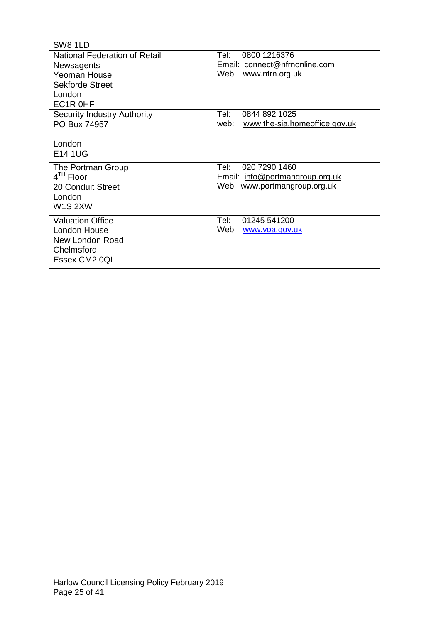| SW8 1LD                              |                                       |
|--------------------------------------|---------------------------------------|
| <b>National Federation of Retail</b> | 0800 1216376<br>Tel:                  |
| Newsagents                           | Email: connect@nfrnonline.com         |
| Yeoman House                         | Web: www.nfrn.org.uk                  |
| <b>Sekforde Street</b>               |                                       |
| London                               |                                       |
| EC1R OHF                             |                                       |
| <b>Security Industry Authority</b>   | Tel:<br>0844 892 1025                 |
| PO Box 74957                         | web:<br>www.the-sia.homeoffice.gov.uk |
|                                      |                                       |
| London                               |                                       |
| <b>E14 1UG</b>                       |                                       |
| The Portman Group                    | 020 7290 1460<br>Tel:                 |
| $4TH$ Floor                          | Email: info@portmangroup.org.uk       |
| 20 Conduit Street                    | Web: www.portmangroup.org.uk          |
| London                               |                                       |
| W <sub>1</sub> S <sub>2</sub> XW     |                                       |
| <b>Valuation Office</b>              | Tel:<br>01245 541200                  |
| London House                         | Web:<br>www.voa.gov.uk                |
| New London Road                      |                                       |
| Chelmsford                           |                                       |
| Essex CM2 0QL                        |                                       |
|                                      |                                       |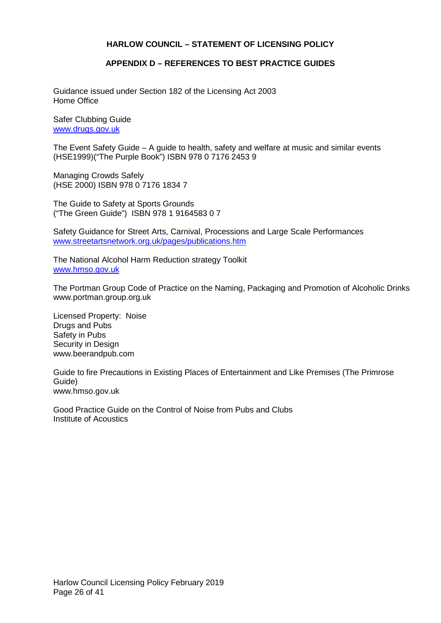#### **APPENDIX D – REFERENCES TO BEST PRACTICE GUIDES**

Guidance issued under Section 182 of the Licensing Act 2003 Home Office

Safer Clubbing Guide [www.drugs.gov.uk](http://www.drugs.gov.uk/)

The Event Safety Guide – A guide to health, safety and welfare at music and similar events (HSE1999)("The Purple Book") ISBN 978 0 7176 2453 9

Managing Crowds Safely (HSE 2000) ISBN 978 0 7176 1834 7

The Guide to Safety at Sports Grounds ("The Green Guide") ISBN 978 1 9164583 0 7

Safety Guidance for Street Arts, Carnival, Processions and Large Scale Performances [www.streetartsnetwork.org.uk/pages/publications.htm](http://www.streetartsnetwork.org.uk/pages/publications.htm)

The National Alcohol Harm Reduction strategy Toolkit [www.hmso.gov.uk](http://www.hmso.gov.uk/)

The Portman Group Code of Practice on the Naming, Packaging and Promotion of Alcoholic Drinks www.portman.group.org.uk

Licensed Property: Noise Drugs and Pubs Safety in Pubs Security in Design www.beerandpub.com

Guide to fire Precautions in Existing Places of Entertainment and Like Premises (The Primrose Guide) www.hmso.gov.uk

Good Practice Guide on the Control of Noise from Pubs and Clubs Institute of Acoustics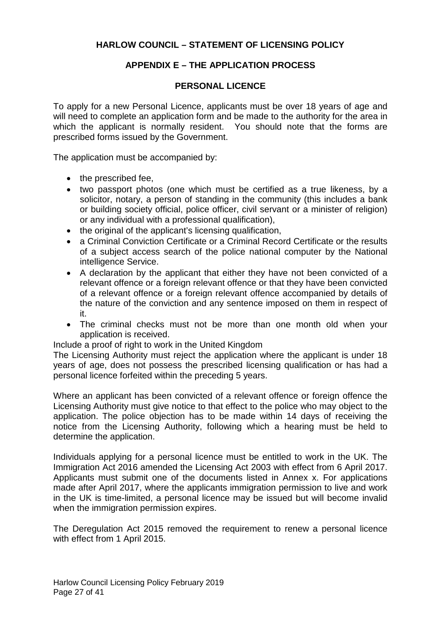## **APPENDIX E – THE APPLICATION PROCESS**

## **PERSONAL LICENCE**

To apply for a new Personal Licence, applicants must be over 18 years of age and will need to complete an application form and be made to the authority for the area in which the applicant is normally resident. You should note that the forms are prescribed forms issued by the Government.

The application must be accompanied by:

- the prescribed fee,
- two passport photos (one which must be certified as a true likeness, by a solicitor, notary, a person of standing in the community (this includes a bank or building society official, police officer, civil servant or a minister of religion) or any individual with a professional qualification),
- the original of the applicant's licensing qualification,
- a Criminal Conviction Certificate or a Criminal Record Certificate or the results of a subject access search of the police national computer by the National intelligence Service.
- A declaration by the applicant that either they have not been convicted of a relevant offence or a foreign relevant offence or that they have been convicted of a relevant offence or a foreign relevant offence accompanied by details of the nature of the conviction and any sentence imposed on them in respect of it.
- The criminal checks must not be more than one month old when your application is received.

Include a proof of right to work in the United Kingdom

The Licensing Authority must reject the application where the applicant is under 18 years of age, does not possess the prescribed licensing qualification or has had a personal licence forfeited within the preceding 5 years.

Where an applicant has been convicted of a relevant offence or foreign offence the Licensing Authority must give notice to that effect to the police who may object to the application. The police objection has to be made within 14 days of receiving the notice from the Licensing Authority, following which a hearing must be held to determine the application.

Individuals applying for a personal licence must be entitled to work in the UK. The Immigration Act 2016 amended the Licensing Act 2003 with effect from 6 April 2017. Applicants must submit one of the documents listed in Annex x. For applications made after April 2017, where the applicants immigration permission to live and work in the UK is time-limited, a personal licence may be issued but will become invalid when the immigration permission expires.

The Deregulation Act 2015 removed the requirement to renew a personal licence with effect from 1 April 2015.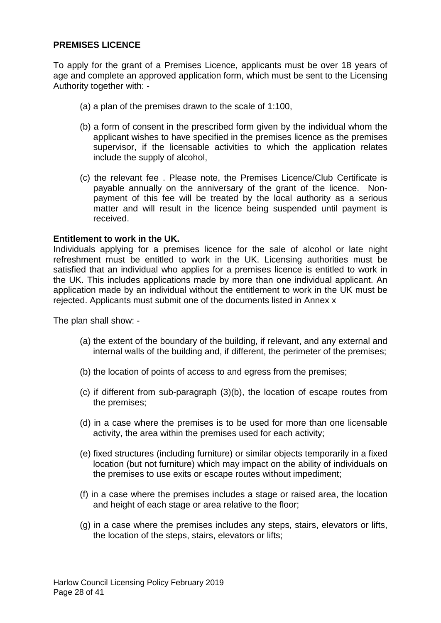## **PREMISES LICENCE**

To apply for the grant of a Premises Licence, applicants must be over 18 years of age and complete an approved application form, which must be sent to the Licensing Authority together with: -

- (a) a plan of the premises drawn to the scale of 1:100,
- (b) a form of consent in the prescribed form given by the individual whom the applicant wishes to have specified in the premises licence as the premises supervisor, if the licensable activities to which the application relates include the supply of alcohol,
- (c) the relevant fee . Please note, the Premises Licence/Club Certificate is payable annually on the anniversary of the grant of the licence. Nonpayment of this fee will be treated by the local authority as a serious matter and will result in the licence being suspended until payment is received.

#### **Entitlement to work in the UK.**

Individuals applying for a premises licence for the sale of alcohol or late night refreshment must be entitled to work in the UK. Licensing authorities must be satisfied that an individual who applies for a premises licence is entitled to work in the UK. This includes applications made by more than one individual applicant. An application made by an individual without the entitlement to work in the UK must be rejected. Applicants must submit one of the documents listed in Annex x

The plan shall show: -

- (a) the extent of the boundary of the building, if relevant, and any external and internal walls of the building and, if different, the perimeter of the premises;
- (b) the location of points of access to and egress from the premises;
- (c) if different from sub-paragraph (3)(b), the location of escape routes from the premises;
- (d) in a case where the premises is to be used for more than one licensable activity, the area within the premises used for each activity;
- (e) fixed structures (including furniture) or similar objects temporarily in a fixed location (but not furniture) which may impact on the ability of individuals on the premises to use exits or escape routes without impediment;
- (f) in a case where the premises includes a stage or raised area, the location and height of each stage or area relative to the floor;
- (g) in a case where the premises includes any steps, stairs, elevators or lifts, the location of the steps, stairs, elevators or lifts;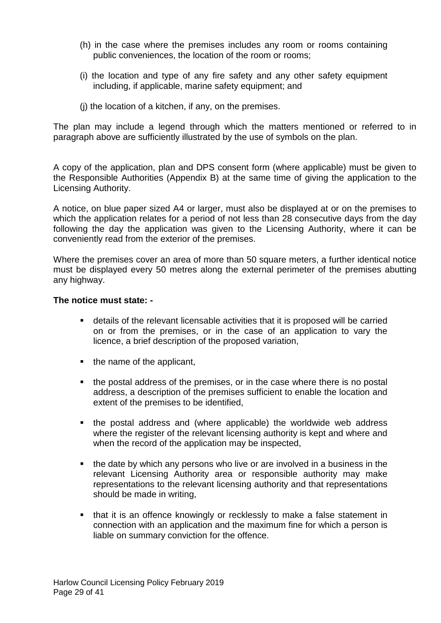- (h) in the case where the premises includes any room or rooms containing public conveniences, the location of the room or rooms;
- (i) the location and type of any fire safety and any other safety equipment including, if applicable, marine safety equipment; and
- (j) the location of a kitchen, if any, on the premises.

The plan may include a legend through which the matters mentioned or referred to in paragraph above are sufficiently illustrated by the use of symbols on the plan.

A copy of the application, plan and DPS consent form (where applicable) must be given to the Responsible Authorities (Appendix B) at the same time of giving the application to the Licensing Authority.

A notice, on blue paper sized A4 or larger, must also be displayed at or on the premises to which the application relates for a period of not less than 28 consecutive days from the day following the day the application was given to the Licensing Authority, where it can be conveniently read from the exterior of the premises.

Where the premises cover an area of more than 50 square meters, a further identical notice must be displayed every 50 metres along the external perimeter of the premises abutting any highway.

#### **The notice must state: -**

- details of the relevant licensable activities that it is proposed will be carried on or from the premises, or in the case of an application to vary the licence, a brief description of the proposed variation,
- $\blacksquare$  the name of the applicant,
- the postal address of the premises, or in the case where there is no postal address, a description of the premises sufficient to enable the location and extent of the premises to be identified,
- the postal address and (where applicable) the worldwide web address where the register of the relevant licensing authority is kept and where and when the record of the application may be inspected,
- the date by which any persons who live or are involved in a business in the relevant Licensing Authority area or responsible authority may make representations to the relevant licensing authority and that representations should be made in writing,
- that it is an offence knowingly or recklessly to make a false statement in connection with an application and the maximum fine for which a person is liable on summary conviction for the offence.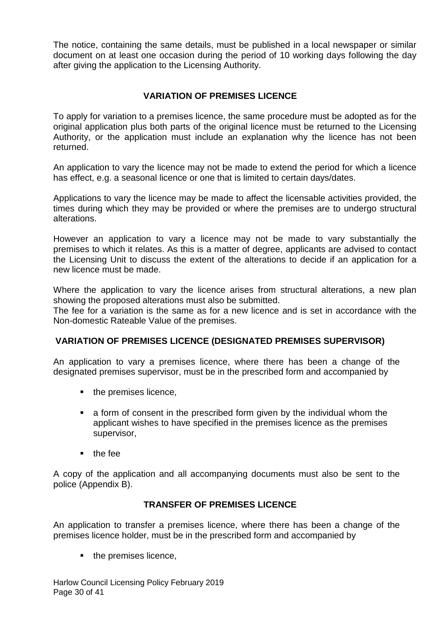The notice, containing the same details, must be published in a local newspaper or similar document on at least one occasion during the period of 10 working days following the day after giving the application to the Licensing Authority.

## **VARIATION OF PREMISES LICENCE**

To apply for variation to a premises licence, the same procedure must be adopted as for the original application plus both parts of the original licence must be returned to the Licensing Authority, or the application must include an explanation why the licence has not been returned.

An application to vary the licence may not be made to extend the period for which a licence has effect, e.g. a seasonal licence or one that is limited to certain days/dates.

Applications to vary the licence may be made to affect the licensable activities provided, the times during which they may be provided or where the premises are to undergo structural alterations.

However an application to vary a licence may not be made to vary substantially the premises to which it relates. As this is a matter of degree, applicants are advised to contact the Licensing Unit to discuss the extent of the alterations to decide if an application for a new licence must be made.

Where the application to vary the licence arises from structural alterations, a new plan showing the proposed alterations must also be submitted.

The fee for a variation is the same as for a new licence and is set in accordance with the Non-domestic Rateable Value of the premises.

## **VARIATION OF PREMISES LICENCE (DESIGNATED PREMISES SUPERVISOR)**

An application to vary a premises licence, where there has been a change of the designated premises supervisor, must be in the prescribed form and accompanied by

- $\blacksquare$  the premises licence,
- a form of consent in the prescribed form given by the individual whom the applicant wishes to have specified in the premises licence as the premises supervisor,
- $\blacksquare$  the fee

A copy of the application and all accompanying documents must also be sent to the police (Appendix B).

## **TRANSFER OF PREMISES LICENCE**

An application to transfer a premises licence, where there has been a change of the premises licence holder, must be in the prescribed form and accompanied by

 $\blacksquare$  the premises licence,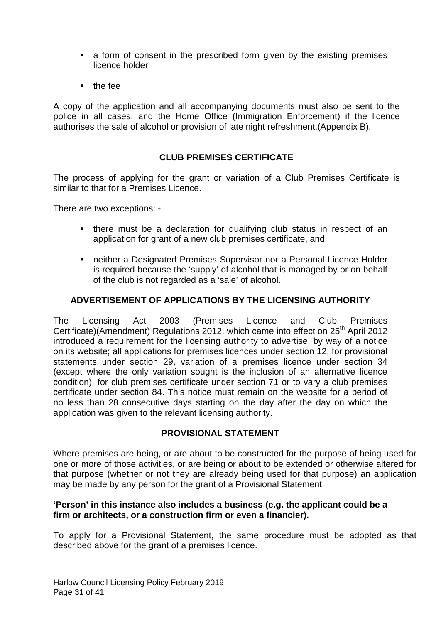- a form of consent in the prescribed form given by the existing premises licence holder'
- $t$  the fee

A copy of the application and all accompanying documents must also be sent to the police in all cases, and the Home Office (Immigration Enforcement) if the licence authorises the sale of alcohol or provision of late night refreshment.(Appendix B).

## **CLUB PREMISES CERTIFICATE**

The process of applying for the grant or variation of a Club Premises Certificate is similar to that for a Premises Licence.

There are two exceptions: -

- there must be a declaration for qualifying club status in respect of an application for grant of a new club premises certificate, and
- neither a Designated Premises Supervisor nor a Personal Licence Holder is required because the 'supply' of alcohol that is managed by or on behalf of the club is not regarded as a 'sale' of alcohol.

## **ADVERTISEMENT OF APPLICATIONS BY THE LICENSING AUTHORITY**

The Licensing Act 2003 (Premises Licence and Club Premises Certificate)(Amendment) Regulations 2012, which came into effect on  $25<sup>th</sup>$  April 2012 introduced a requirement for the licensing authority to advertise, by way of a notice on its website; all applications for premises licences under section 12, for provisional statements under section 29, variation of a premises licence under section 34 (except where the only variation sought is the inclusion of an alternative licence condition), for club premises certificate under section 71 or to vary a club premises certificate under section 84. This notice must remain on the website for a period of no less than 28 consecutive days starting on the day after the day on which the application was given to the relevant licensing authority.

## **PROVISIONAL STATEMENT**

Where premises are being, or are about to be constructed for the purpose of being used for one or more of those activities, or are being or about to be extended or otherwise altered for that purpose (whether or not they are already being used for that purpose) an application may be made by any person for the grant of a Provisional Statement.

## **'Person' in this instance also includes a business (e.g. the applicant could be a firm or architects, or a construction firm or even a financier).**

To apply for a Provisional Statement, the same procedure must be adopted as that described above for the grant of a premises licence.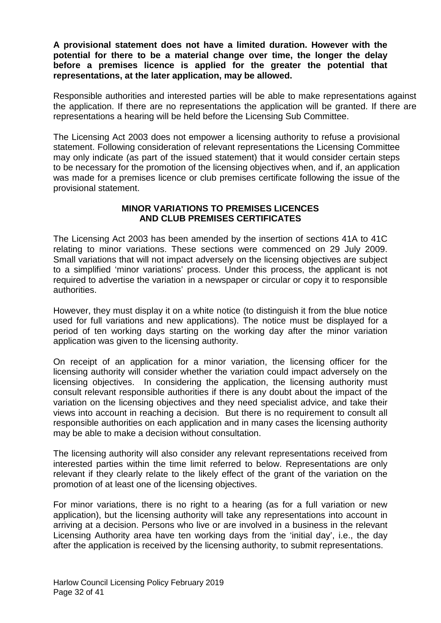**A provisional statement does not have a limited duration. However with the potential for there to be a material change over time, the longer the delay before a premises licence is applied for the greater the potential that representations, at the later application, may be allowed.** 

Responsible authorities and interested parties will be able to make representations against the application. If there are no representations the application will be granted. If there are representations a hearing will be held before the Licensing Sub Committee.

The Licensing Act 2003 does not empower a licensing authority to refuse a provisional statement. Following consideration of relevant representations the Licensing Committee may only indicate (as part of the issued statement) that it would consider certain steps to be necessary for the promotion of the licensing objectives when, and if, an application was made for a premises licence or club premises certificate following the issue of the provisional statement.

## **MINOR VARIATIONS TO PREMISES LICENCES AND CLUB PREMISES CERTIFICATES**

The Licensing Act 2003 has been amended by the insertion of sections 41A to 41C relating to minor variations. These sections were commenced on 29 July 2009. Small variations that will not impact adversely on the licensing objectives are subject to a simplified 'minor variations' process. Under this process, the applicant is not required to advertise the variation in a newspaper or circular or copy it to responsible authorities.

However, they must display it on a white notice (to distinguish it from the blue notice used for full variations and new applications). The notice must be displayed for a period of ten working days starting on the working day after the minor variation application was given to the licensing authority.

On receipt of an application for a minor variation, the licensing officer for the licensing authority will consider whether the variation could impact adversely on the licensing objectives. In considering the application, the licensing authority must consult relevant responsible authorities if there is any doubt about the impact of the variation on the licensing objectives and they need specialist advice, and take their views into account in reaching a decision. But there is no requirement to consult all responsible authorities on each application and in many cases the licensing authority may be able to make a decision without consultation.

The licensing authority will also consider any relevant representations received from interested parties within the time limit referred to below. Representations are only relevant if they clearly relate to the likely effect of the grant of the variation on the promotion of at least one of the licensing objectives.

For minor variations, there is no right to a hearing (as for a full variation or new application), but the licensing authority will take any representations into account in arriving at a decision. Persons who live or are involved in a business in the relevant Licensing Authority area have ten working days from the 'initial day', i.e., the day after the application is received by the licensing authority, to submit representations.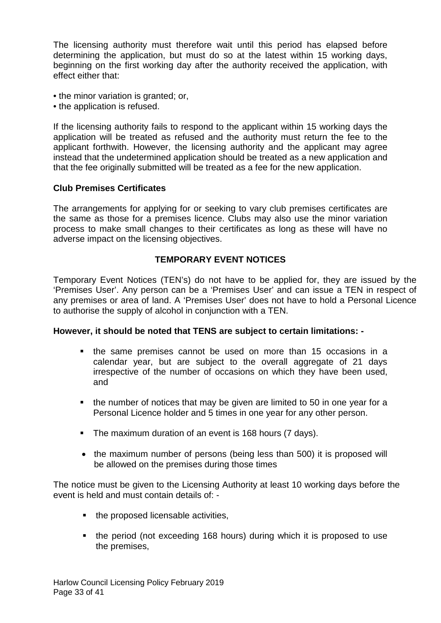The licensing authority must therefore wait until this period has elapsed before determining the application, but must do so at the latest within 15 working days, beginning on the first working day after the authority received the application, with effect either that:

- the minor variation is granted; or,
- the application is refused.

If the licensing authority fails to respond to the applicant within 15 working days the application will be treated as refused and the authority must return the fee to the applicant forthwith. However, the licensing authority and the applicant may agree instead that the undetermined application should be treated as a new application and that the fee originally submitted will be treated as a fee for the new application.

## **Club Premises Certificates**

The arrangements for applying for or seeking to vary club premises certificates are the same as those for a premises licence. Clubs may also use the minor variation process to make small changes to their certificates as long as these will have no adverse impact on the licensing objectives.

## **TEMPORARY EVENT NOTICES**

Temporary Event Notices (TEN's) do not have to be applied for, they are issued by the 'Premises User'. Any person can be a 'Premises User' and can issue a TEN in respect of any premises or area of land. A 'Premises User' does not have to hold a Personal Licence to authorise the supply of alcohol in conjunction with a TEN.

## **However, it should be noted that TENS are subject to certain limitations: -**

- the same premises cannot be used on more than 15 occasions in a calendar year, but are subject to the overall aggregate of 21 days irrespective of the number of occasions on which they have been used, and
- the number of notices that may be given are limited to 50 in one year for a Personal Licence holder and 5 times in one year for any other person.
- The maximum duration of an event is 168 hours (7 days).
- the maximum number of persons (being less than 500) it is proposed will be allowed on the premises during those times

The notice must be given to the Licensing Authority at least 10 working days before the event is held and must contain details of: -

- $\blacksquare$  the proposed licensable activities,
- the period (not exceeding 168 hours) during which it is proposed to use the premises,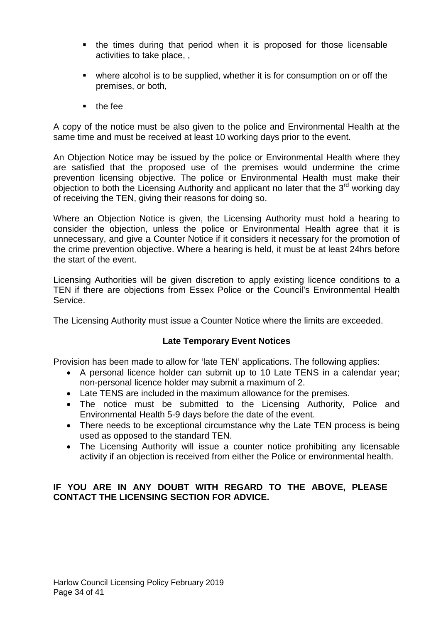- the times during that period when it is proposed for those licensable activities to take place, ,
- where alcohol is to be supplied, whether it is for consumption on or off the premises, or both,
- $\bullet$  the fee

A copy of the notice must be also given to the police and Environmental Health at the same time and must be received at least 10 working days prior to the event.

An Objection Notice may be issued by the police or Environmental Health where they are satisfied that the proposed use of the premises would undermine the crime prevention licensing objective. The police or Environmental Health must make their objection to both the Licensing Authority and applicant no later that the  $3<sup>rd</sup>$  working day of receiving the TEN, giving their reasons for doing so.

Where an Objection Notice is given, the Licensing Authority must hold a hearing to consider the objection, unless the police or Environmental Health agree that it is unnecessary, and give a Counter Notice if it considers it necessary for the promotion of the crime prevention objective. Where a hearing is held, it must be at least 24hrs before the start of the event.

Licensing Authorities will be given discretion to apply existing licence conditions to a TEN if there are objections from Essex Police or the Council's Environmental Health Service.

The Licensing Authority must issue a Counter Notice where the limits are exceeded.

## **Late Temporary Event Notices**

Provision has been made to allow for 'late TEN' applications. The following applies:

- A personal licence holder can submit up to 10 Late TENS in a calendar year; non-personal licence holder may submit a maximum of 2.
- Late TENS are included in the maximum allowance for the premises.
- The notice must be submitted to the Licensing Authority, Police and Environmental Health 5-9 days before the date of the event.
- There needs to be exceptional circumstance why the Late TEN process is being used as opposed to the standard TEN.
- The Licensing Authority will issue a counter notice prohibiting any licensable activity if an objection is received from either the Police or environmental health.

## **IF YOU ARE IN ANY DOUBT WITH REGARD TO THE ABOVE, PLEASE CONTACT THE LICENSING SECTION FOR ADVICE.**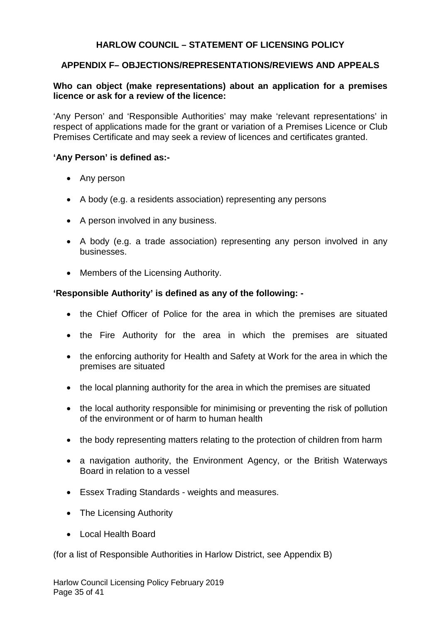## **APPENDIX F– OBJECTIONS/REPRESENTATIONS/REVIEWS AND APPEALS**

## **Who can object (make representations) about an application for a premises licence or ask for a review of the licence:**

'Any Person' and 'Responsible Authorities' may make 'relevant representations' in respect of applications made for the grant or variation of a Premises Licence or Club Premises Certificate and may seek a review of licences and certificates granted.

#### **'Any Person' is defined as:-**

- Any person
- A body (e.g. a residents association) representing any persons
- A person involved in any business.
- A body (e.g. a trade association) representing any person involved in any businesses.
- Members of the Licensing Authority.

#### **'Responsible Authority' is defined as any of the following: -**

- the Chief Officer of Police for the area in which the premises are situated
- the Fire Authority for the area in which the premises are situated
- the enforcing authority for Health and Safety at Work for the area in which the premises are situated
- the local planning authority for the area in which the premises are situated
- the local authority responsible for minimising or preventing the risk of pollution of the environment or of harm to human health
- the body representing matters relating to the protection of children from harm
- a navigation authority, the Environment Agency, or the British Waterways Board in relation to a vessel
- Essex Trading Standards weights and measures.
- The Licensing Authority
- Local Health Board

(for a list of Responsible Authorities in Harlow District, see Appendix B)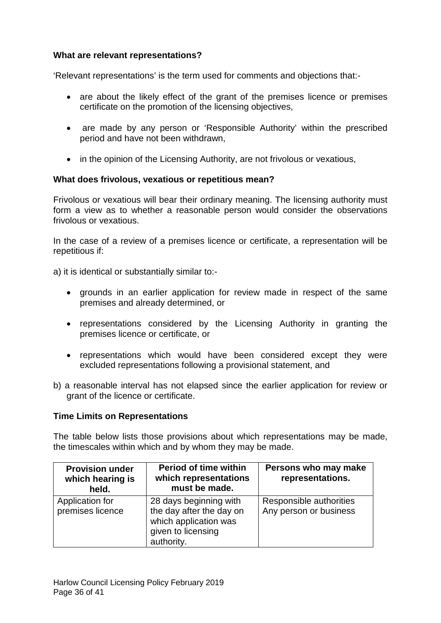## **What are relevant representations?**

'Relevant representations' is the term used for comments and objections that:-

- are about the likely effect of the grant of the premises licence or premises certificate on the promotion of the licensing objectives,
- are made by any person or 'Responsible Authority' within the prescribed period and have not been withdrawn,
- in the opinion of the Licensing Authority, are not frivolous or vexatious,

## **What does frivolous, vexatious or repetitious mean?**

Frivolous or vexatious will bear their ordinary meaning. The licensing authority must form a view as to whether a reasonable person would consider the observations frivolous or vexatious.

In the case of a review of a premises licence or certificate, a representation will be repetitious if:

a) it is identical or substantially similar to:-

- grounds in an earlier application for review made in respect of the same premises and already determined, or
- representations considered by the Licensing Authority in granting the premises licence or certificate, or
- representations which would have been considered except they were excluded representations following a provisional statement, and
- b) a reasonable interval has not elapsed since the earlier application for review or grant of the licence or certificate.

## **Time Limits on Representations**

The table below lists those provisions about which representations may be made, the timescales within which and by whom they may be made.

| <b>Provision under</b><br>which hearing is<br>held. | <b>Period of time within</b><br>which representations<br>must be made.                                          | Persons who may make<br>representations.          |
|-----------------------------------------------------|-----------------------------------------------------------------------------------------------------------------|---------------------------------------------------|
| Application for<br>premises licence                 | 28 days beginning with<br>the day after the day on<br>which application was<br>given to licensing<br>authority. | Responsible authorities<br>Any person or business |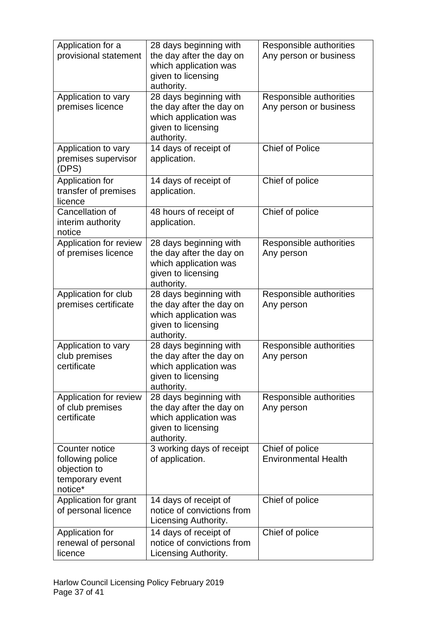| Application for a<br>provisional statement                                       | 28 days beginning with<br>the day after the day on<br>which application was<br>given to licensing<br>authority. | Responsible authorities<br>Any person or business |
|----------------------------------------------------------------------------------|-----------------------------------------------------------------------------------------------------------------|---------------------------------------------------|
| Application to vary<br>premises licence                                          | 28 days beginning with<br>the day after the day on<br>which application was<br>given to licensing<br>authority. | Responsible authorities<br>Any person or business |
| Application to vary<br>premises supervisor<br>(DPS)                              | 14 days of receipt of<br>application.                                                                           | <b>Chief of Police</b>                            |
| Application for<br>transfer of premises<br>licence                               | 14 days of receipt of<br>application.                                                                           | Chief of police                                   |
| Cancellation of<br>interim authority<br>notice                                   | 48 hours of receipt of<br>application.                                                                          | Chief of police                                   |
| Application for review<br>of premises licence                                    | 28 days beginning with<br>the day after the day on<br>which application was<br>given to licensing<br>authority. | Responsible authorities<br>Any person             |
| Application for club<br>premises certificate                                     | 28 days beginning with<br>the day after the day on<br>which application was<br>given to licensing<br>authority. | Responsible authorities<br>Any person             |
| Application to vary<br>club premises<br>certificate                              | 28 days beginning with<br>the day after the day on<br>which application was<br>given to licensing<br>authority. | Responsible authorities<br>Any person             |
| Application for review<br>of club premises<br>certificate                        | 28 days beginning with<br>the day after the day on<br>which application was<br>given to licensing<br>authority. | Responsible authorities<br>Any person             |
| Counter notice<br>following police<br>objection to<br>temporary event<br>notice* | 3 working days of receipt<br>of application.                                                                    | Chief of police<br><b>Environmental Health</b>    |
| Application for grant<br>of personal licence                                     | 14 days of receipt of<br>notice of convictions from<br>Licensing Authority.                                     | Chief of police                                   |
| Application for<br>renewal of personal<br>licence                                | 14 days of receipt of<br>notice of convictions from<br>Licensing Authority.                                     | Chief of police                                   |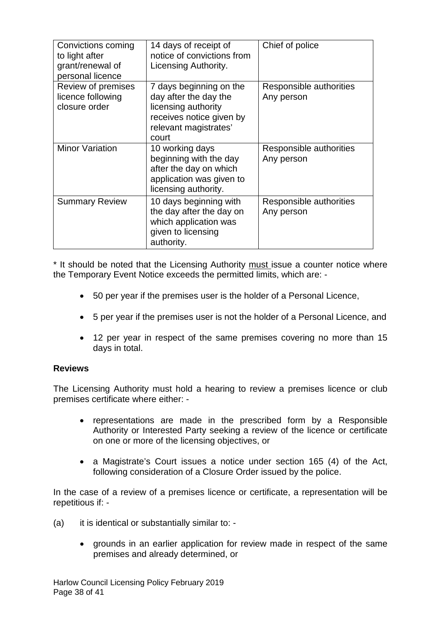| Convictions coming<br>to light after<br>grant/renewal of<br>personal licence | 14 days of receipt of<br>notice of convictions from<br>Licensing Authority.                                                           | Chief of police                       |
|------------------------------------------------------------------------------|---------------------------------------------------------------------------------------------------------------------------------------|---------------------------------------|
| Review of premises<br>licence following<br>closure order                     | 7 days beginning on the<br>day after the day the<br>licensing authority<br>receives notice given by<br>relevant magistrates'<br>court | Responsible authorities<br>Any person |
| <b>Minor Variation</b>                                                       | 10 working days<br>beginning with the day<br>after the day on which<br>application was given to<br>licensing authority.               | Responsible authorities<br>Any person |
| <b>Summary Review</b>                                                        | 10 days beginning with<br>the day after the day on<br>which application was<br>given to licensing<br>authority.                       | Responsible authorities<br>Any person |

\* It should be noted that the Licensing Authority must issue a counter notice where the Temporary Event Notice exceeds the permitted limits, which are: -

- 50 per year if the premises user is the holder of a Personal Licence,
- 5 per year if the premises user is not the holder of a Personal Licence, and
- 12 per year in respect of the same premises covering no more than 15 days in total.

## **Reviews**

The Licensing Authority must hold a hearing to review a premises licence or club premises certificate where either: -

- representations are made in the prescribed form by a Responsible Authority or Interested Party seeking a review of the licence or certificate on one or more of the licensing objectives, or
- a Magistrate's Court issues a notice under section 165 (4) of the Act, following consideration of a Closure Order issued by the police.

In the case of a review of a premises licence or certificate, a representation will be repetitious if: -

- (a) it is identical or substantially similar to: -
	- grounds in an earlier application for review made in respect of the same premises and already determined, or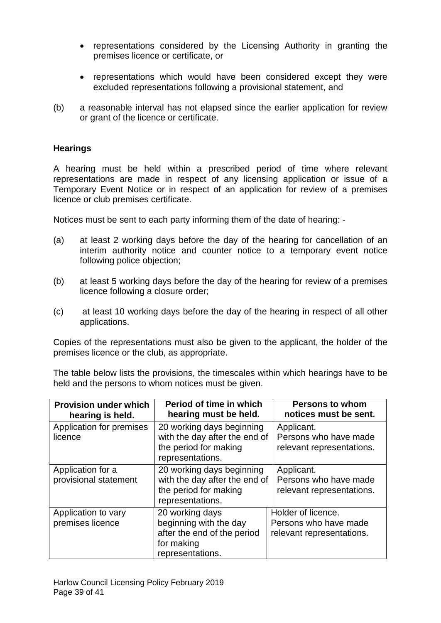- representations considered by the Licensing Authority in granting the premises licence or certificate, or
- representations which would have been considered except they were excluded representations following a provisional statement, and
- (b) a reasonable interval has not elapsed since the earlier application for review or grant of the licence or certificate.

## **Hearings**

A hearing must be held within a prescribed period of time where relevant representations are made in respect of any licensing application or issue of a Temporary Event Notice or in respect of an application for review of a premises licence or club premises certificate.

Notices must be sent to each party informing them of the date of hearing: -

- (a) at least 2 working days before the day of the hearing for cancellation of an interim authority notice and counter notice to a temporary event notice following police objection;
- (b) at least 5 working days before the day of the hearing for review of a premises licence following a closure order;
- (c) at least 10 working days before the day of the hearing in respect of all other applications.

Copies of the representations must also be given to the applicant, the holder of the premises licence or the club, as appropriate.

The table below lists the provisions, the timescales within which hearings have to be held and the persons to whom notices must be given.

| <b>Provision under which</b><br>hearing is held. | Period of time in which<br>hearing must be held.                                                           | <b>Persons to whom</b><br>notices must be sent.                          |
|--------------------------------------------------|------------------------------------------------------------------------------------------------------------|--------------------------------------------------------------------------|
| Application for premises<br>licence              | 20 working days beginning<br>with the day after the end of<br>the period for making<br>representations.    | Applicant.<br>Persons who have made<br>relevant representations.         |
| Application for a<br>provisional statement       | 20 working days beginning<br>with the day after the end of<br>the period for making<br>representations.    | Applicant.<br>Persons who have made<br>relevant representations.         |
| Application to vary<br>premises licence          | 20 working days<br>beginning with the day<br>after the end of the period<br>for making<br>representations. | Holder of licence.<br>Persons who have made<br>relevant representations. |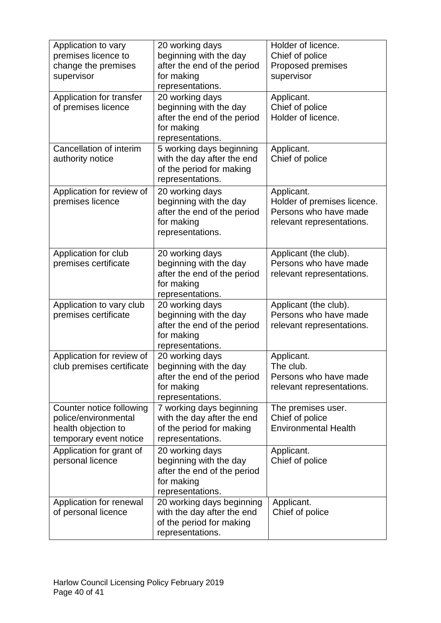| Application to vary<br>premises licence to<br>change the premises<br>supervisor                   | 20 working days<br>beginning with the day<br>after the end of the period<br>for making<br>representations. | Holder of licence.<br>Chief of police<br>Proposed premises<br>supervisor                        |
|---------------------------------------------------------------------------------------------------|------------------------------------------------------------------------------------------------------------|-------------------------------------------------------------------------------------------------|
| Application for transfer<br>of premises licence                                                   | 20 working days<br>beginning with the day<br>after the end of the period<br>for making<br>representations. | Applicant.<br>Chief of police<br>Holder of licence.                                             |
| Cancellation of interim<br>authority notice                                                       | 5 working days beginning<br>with the day after the end<br>of the period for making<br>representations.     | Applicant.<br>Chief of police                                                                   |
| Application for review of<br>premises licence                                                     | 20 working days<br>beginning with the day<br>after the end of the period<br>for making<br>representations. | Applicant.<br>Holder of premises licence.<br>Persons who have made<br>relevant representations. |
| Application for club<br>premises certificate                                                      | 20 working days<br>beginning with the day<br>after the end of the period<br>for making<br>representations. | Applicant (the club).<br>Persons who have made<br>relevant representations.                     |
| Application to vary club<br>premises certificate                                                  | 20 working days<br>beginning with the day<br>after the end of the period<br>for making<br>representations. | Applicant (the club).<br>Persons who have made<br>relevant representations.                     |
| Application for review of<br>club premises certificate                                            | 20 working days<br>beginning with the day<br>after the end of the period<br>for making<br>representations. | Applicant.<br>The club.<br>Persons who have made<br>relevant representations.                   |
| Counter notice following<br>police/environmental<br>health objection to<br>temporary event notice | 7 working days beginning<br>with the day after the end<br>of the period for making<br>representations.     | The premises user.<br>Chief of police<br><b>Environmental Health</b>                            |
| Application for grant of<br>personal licence                                                      | 20 working days<br>beginning with the day<br>after the end of the period<br>for making<br>representations. | Applicant.<br>Chief of police                                                                   |
| Application for renewal<br>of personal licence                                                    | 20 working days beginning<br>with the day after the end<br>of the period for making<br>representations.    | Applicant.<br>Chief of police                                                                   |